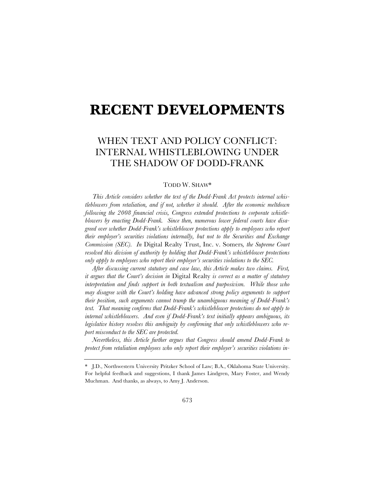# **RECENT DEVELOPMENTS**

# WHEN TEXT AND POLICY CONFLICT: INTERNAL WHISTLEBLOWING UNDER THE SHADOW OF DODD-FRANK

#### TODD W. SHAW\*

*This Article considers whether the text of the Dodd-Frank Act protects internal whistleblowers from retaliation, and if not, whether it should. After the economic meltdown following the 2008 financial crisis, Congress extended protections to corporate whistleblowers by enacting Dodd-Frank. Since then, numerous lower federal courts have disagreed over whether Dodd-Frank's whistleblower protections apply to employees who report their employer's securities violations internally, but not to the Securities and Exchange Commission (SEC). In* Digital Realty Trust, Inc. v. Somers*, the Supreme Court resolved this division of authority by holding that Dodd-Frank's whistleblower protections only apply to employees who report their employer's securities violations to the SEC.*

*After discussing current statutory and case law, this Article makes two claims. First, it argues that the Court's decision in* Digital Realty *is correct as a matter of statutory interpretation and finds support in both textualism and purposivism. While those who may disagree with the Court's holding have advanced strong policy arguments to support their position, such arguments cannot trump the unambiguous meaning of Dodd-Frank's text. That meaning confirms that Dodd-Frank's whistleblower protections do not apply to internal whistleblowers. And even if Dodd-Frank's text initially appears ambiguous, its legislative history resolves this ambiguity by confirming that only whistleblowers who report misconduct to the SEC are protected.* 

*Nevertheless, this Article further argues that Congress should amend Dodd-Frank to protect from retaliation employees who only report their employer's securities violations in-*

<sup>\*</sup> J.D., Northwestern University Pritzker School of Law; B.A., Oklahoma State University. For helpful feedback and suggestions, I thank James Lindgren, Mary Foster, and Wendy Muchman. And thanks, as always, to Amy J. Anderson.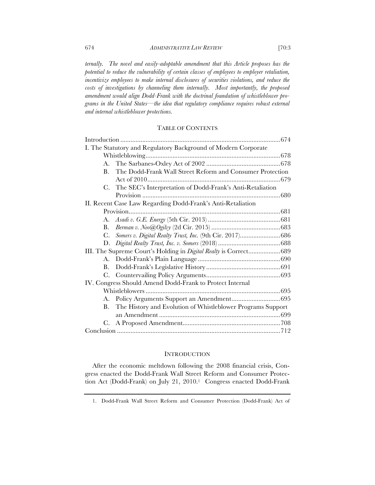*ternally. The novel and easily-adoptable amendment that this Article proposes has the potential to reduce the vulnerability of certain classes of employees to employer retaliation,*  incentivize employees to make internal disclosures of securities violations, and reduce the *costs of investigations by channeling them internally. Most importantly, the proposed amendment would align Dodd-Frank with the doctrinal foundation of whistleblower programs in the United States—the idea that regulatory compliance requires robust external and internal whistleblower protections.*

## TABLE OF CONTENTS

| I. The Statutory and Regulatory Background of Modern Corporate   |                                                             |  |
|------------------------------------------------------------------|-------------------------------------------------------------|--|
|                                                                  |                                                             |  |
|                                                                  |                                                             |  |
| B.                                                               | The Dodd-Frank Wall Street Reform and Consumer Protection   |  |
|                                                                  |                                                             |  |
| C.                                                               | The SEC's Interpretation of Dodd-Frank's Anti-Retaliation   |  |
|                                                                  |                                                             |  |
| II. Recent Case Law Regarding Dodd-Frank's Anti-Retaliation      |                                                             |  |
|                                                                  |                                                             |  |
|                                                                  |                                                             |  |
| <b>B</b> .                                                       |                                                             |  |
| $C_{\cdot}$                                                      | Somers v. Digital Realty Trust, Inc. (9th Cir. 2017)686     |  |
| D.                                                               |                                                             |  |
| III. The Supreme Court's Holding in Digital Realty is Correct689 |                                                             |  |
| А.                                                               |                                                             |  |
| B.                                                               |                                                             |  |
|                                                                  |                                                             |  |
| IV. Congress Should Amend Dodd-Frank to Protect Internal         |                                                             |  |
|                                                                  |                                                             |  |
| A.                                                               |                                                             |  |
| В.                                                               | The History and Evolution of Whistleblower Programs Support |  |
|                                                                  |                                                             |  |
| C.                                                               |                                                             |  |
|                                                                  |                                                             |  |

#### **INTRODUCTION**

After the economic meltdown following the 2008 financial crisis, Congress enacted the Dodd-Frank Wall Street Reform and Consumer Protection Act (Dodd-Frank) on July 21, 2010.<sup>1</sup> Congress enacted Dodd-Frank

<sup>1.</sup> Dodd-Frank Wall Street Reform and Consumer Protection (Dodd-Frank) Act of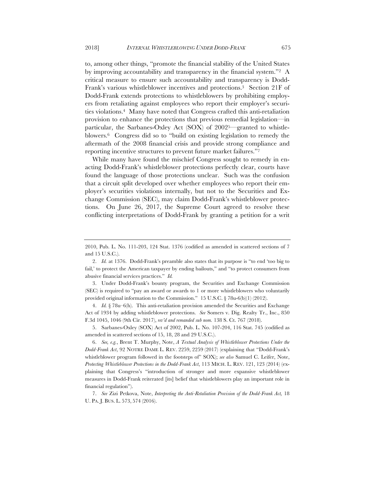to, among other things, "promote the financial stability of the United States by improving accountability and transparency in the financial system."2 A critical measure to ensure such accountability and transparency is Dodd-Frank's various whistleblower incentives and protections.3 Section 21F of Dodd-Frank extends protections to whistleblowers by prohibiting employers from retaliating against employees who report their employer's securities violations.4 Many have noted that Congress crafted this anti-retaliation provision to enhance the protections that previous remedial legislation—in particular, the Sarbanes-Oxley Act (SOX) of 20025—granted to whistleblowers.6 Congress did so to "build on existing legislation to remedy the aftermath of the 2008 financial crisis and provide strong compliance and reporting incentive structures to prevent future market failures."7

While many have found the mischief Congress sought to remedy in enacting Dodd-Frank's whistleblower protections perfectly clear, courts have found the language of those protections unclear. Such was the confusion that a circuit split developed over whether employees who report their employer's securities violations internally, but not to the Securities and Exchange Commission (SEC), may claim Dodd-Frank's whistleblower protections. On June 26, 2017, the Supreme Court agreed to resolve these conflicting interpretations of Dodd-Frank by granting a petition for a writ

3. Under Dodd-Frank's bounty program, the Securities and Exchange Commission (SEC) is required to "pay an award or awards to 1 or more whistleblowers who voluntarily provided original information to the Commission." 15 U.S.C. § 78u-6(b)(1) (2012).

4. *Id.* § 78u–6(h). This anti-retaliation provision amended the Securities and Exchange Act of 1934 by adding whistleblower protections. *See* Somers v. Dig. Realty Tr., Inc., 850 F.3d 1045, 1046 (9th Cir. 2017), *rev'd and remanded sub nom.* 138 S. Ct. 767 (2018).

5. Sarbanes-Oxley (SOX) Act of 2002, Pub. L. No. 107-204, 116 Stat. 745 (codified as amended in scattered sections of 15, 18, 28 and 29 U.S.C.).

7. *See* Zizi Petkova, Note, *Interpreting the Anti-Retaliation Provision of the Dodd-Frank Act,* 18 U. PA. J. BUS. L. 573, 574 (2016).

<sup>2010,</sup> Pub. L. No. 111-203, 124 Stat. 1376 (codified as amended in scattered sections of 7 and 15 U.S.C.).

<sup>2.</sup> *Id.* at 1376. Dodd-Frank's preamble also states that its purpose is "to end 'too big to fail,' to protect the American taxpayer by ending bailouts," and "to protect consumers from abusive financial services practices." *Id.*

<sup>6.</sup> *See, e.g.*, Brent T. Murphy, Note, *A Textual Analysis of Whistleblower Protections Under the Dodd-Frank Act*, 92 NOTRE DAME L. REV. 2259, 2259 (2017) (explaining that "Dodd-Frank's whistleblower program followed in the footsteps of" SOX); *see also* Samuel C. Leifer, Note, *Protecting Whistleblower Protections in the Dodd-Frank Act*, 113 MICH. L. REV. 121, 123 (2014) (explaining that Congress's "introduction of stronger and more expansive whistleblower measures in Dodd-Frank reiterated [its] belief that whistleblowers play an important role in financial regulation").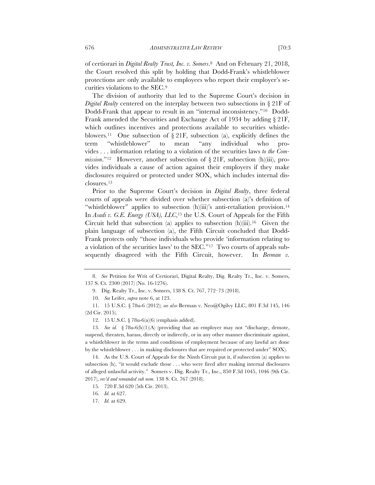of certiorari in *Digital Realty Trust, Inc. v. Somers*.8 And on February 21, 2018, the Court resolved this split by holding that Dodd-Frank's whistleblower protections are only available to employees who report their employer's securities violations to the SEC.9

The division of authority that led to the Supreme Court's decision in *Digital Realty* centered on the interplay between two subsections in § 21F of Dodd-Frank that appear to result in an "internal inconsistency."10 Dodd-Frank amended the Securities and Exchange Act of 1934 by adding  $\S 21F$ , which outlines incentives and protections available to securities whistleblowers.<sup>11</sup> One subsection of  $\S 21F$ , subsection (a), explicitly defines the term "whistleblower" to mean "any individual who provides . . . information relating to a violation of the securities laws *to the Commission*."<sup>12</sup> However, another subsection of  $\S 21$ F, subsection (h)(iii), provides individuals a cause of action against their employers if they make disclosures required or protected under SOX, which includes internal disclosures.13

Prior to the Supreme Court's decision in *Digital Realty*, three federal courts of appeals were divided over whether subsection (a)'s definition of "whistleblower" applies to subsection (h)(iii)'s anti-retaliation provision.<sup>14</sup> In *Asadi v. G.E. Energy (USA), LLC*,15 the U.S. Court of Appeals for the Fifth Circuit held that subsection (a) applies to subsection  $(h)(iii)$ .<sup>16</sup> Given the plain language of subsection (a), the Fifth Circuit concluded that Dodd-Frank protects only "those individuals who provide 'information relating to a violation of the securities laws' to the SEC."17 Two courts of appeals subsequently disagreed with the Fifth Circuit, however. In *Berman v*.

<sup>8.</sup> *See* Petition for Writ of Certiorari, Digital Realty, Dig. Realty Tr., Inc. v. Somers, 137 S. Ct. 2300 (2017) (No. 16-1276).

<sup>9.</sup> Dig. Realty Tr., Inc. v. Somers, 138 S. Ct. 767, 772–73 (2018).

<sup>10.</sup> *See* Leifer, *supra* note 6, at 123.

<sup>11.</sup> 15 U.S.C. § 78u-6 (2012); *see also* Berman v. Neo@Ogilvy LLC, 801 F.3d 145, 146 (2d Cir. 2015).

<sup>12.</sup> 15 U.S.C. § 78u-6(a)(6) (emphasis added).

<sup>13.</sup> *See id.* § 78u-6(h)(1)(A) (providing that an employer may not "discharge, demote, suspend, threaten, harass, directly or indirectly, or in any other manner discriminate against, a whistleblower in the terms and conditions of employment because of any lawful act done by the whistleblower . . . in making disclosures that are required or protected under" SOX).

<sup>14.</sup> As the U.S. Court of Appeals for the Ninth Circuit put it, if subsection (a) applies to subsection (h), "it would exclude those . . . who were fired after making internal disclosures of alleged unlawful activity." Somers v. Dig. Realty Tr., Inc., 850 F.3d 1045, 1046 (9th Cir. 2017), *rev'd and remanded sub nom.* 138 S. Ct. 767 (2018).

<sup>15.</sup> 720 F.3d 620 (5th Cir. 2013).

<sup>16.</sup> *Id.* at 627.

<sup>17.</sup> *Id.* at 629.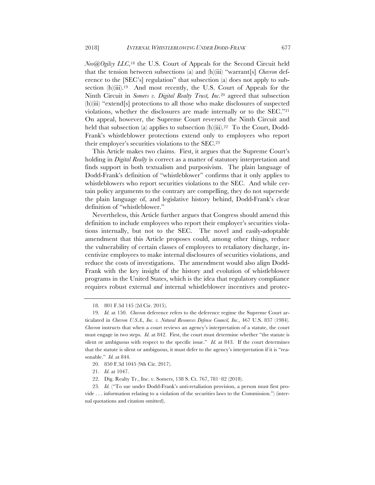*Neo@Ogilvy LLC*,18 the U.S. Court of Appeals for the Second Circuit held that the tension between subsections (a) and (h)(iii) "warrant[s] *Chevron* deference to the [SEC's] regulation" that subsection (a) does not apply to subsection (h)(iii).<sup>19</sup> And most recently, the U.S. Court of Appeals for the Ninth Circuit in *Somers v. Digital Realty Trust, Inc.*<sup>20</sup> agreed that subsection (h)(iii) "extend[s] protections to all those who make disclosures of suspected violations, whether the disclosures are made internally or to the SEC."21 On appeal, however, the Supreme Court reversed the Ninth Circuit and held that subsection (a) applies to subsection (h)(iii).<sup>22</sup> To the Court, Dodd-Frank's whistleblower protections extend only to employees who report their employer's securities violations to the SEC.23

This Article makes two claims. First, it argues that the Supreme Court's holding in *Digital Realty* is correct as a matter of statutory interpretation and finds support in both textualism and purposivism. The plain language of Dodd-Frank's definition of "whistleblower" confirms that it only applies to whistleblowers who report securities violations to the SEC. And while certain policy arguments to the contrary are compelling, they do not supersede the plain language of, and legislative history behind, Dodd-Frank's clear definition of "whistleblower."

Nevertheless, this Article further argues that Congress should amend this definition to include employees who report their employer's securities violations internally, but not to the SEC. The novel and easily-adoptable amendment that this Article proposes could, among other things, reduce the vulnerability of certain classes of employees to retaliatory discharge, incentivize employees to make internal disclosures of securities violations, and reduce the costs of investigations. The amendment would also align Dodd-Frank with the key insight of the history and evolution of whistleblower programs in the United States, which is the idea that regulatory compliance requires robust external *and* internal whistleblower incentives and protec-

<sup>18.</sup> 801 F.3d 145 (2d Cir. 2015).

<sup>19.</sup> *Id.* at 150. *Chevron* deference refers to the deference regime the Supreme Court articulated in *Chevron U.S.A., Inc. v. Natural Resources Defense Council, Inc.*, 467 U.S. 837 (1984). *Chevron* instructs that when a court reviews an agency's interpretation of a statute, the court must engage in two steps. *Id.* at 842. First, the court must determine whether "the statute is silent or ambiguous with respect to the specific issue." *Id.* at 843. If the court determines that the statute is silent or ambiguous, it must defer to the agency's interpretation if it is "reasonable." *Id.* at 844.

<sup>20.</sup> 850 F.3d 1045 (9th Cir. 2017).

<sup>21.</sup> *Id.* at 1047.

<sup>22.</sup> Dig. Realty Tr., Inc. v. Somers, 138 S. Ct. 767, 781–82 (2018).

<sup>23.</sup> *Id.* ("To sue under Dodd-Frank's anti-retaliation provision, a person must first provide . . . information relating to a violation of the securities laws to the Commission.") (internal quotations and citation omitted).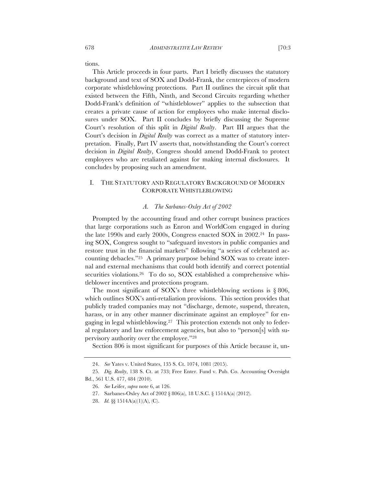tions.

This Article proceeds in four parts. Part I briefly discusses the statutory background and text of SOX and Dodd-Frank, the centerpieces of modern corporate whistleblowing protections. Part II outlines the circuit split that existed between the Fifth, Ninth, and Second Circuits regarding whether Dodd-Frank's definition of "whistleblower" applies to the subsection that creates a private cause of action for employees who make internal disclosures under SOX. Part II concludes by briefly discussing the Supreme Court's resolution of this split in *Digital Realty*. Part III argues that the Court's decision in *Digital Realty* was correct as a matter of statutory interpretation. Finally, Part IV asserts that, notwithstanding the Court's correct decision in *Digital Realty*, Congress should amend Dodd-Frank to protect employees who are retaliated against for making internal disclosures. It concludes by proposing such an amendment.

# I. THE STATUTORY AND REGULATORY BACKGROUND OF MODERN CORPORATE WHISTLEBLOWING

#### *A. The Sarbanes-Oxley Act of 2002*

Prompted by the accounting fraud and other corrupt business practices that large corporations such as Enron and WorldCom engaged in during the late 1990s and early 2000s, Congress enacted SOX in 2002.24 In passing SOX, Congress sought to "safeguard investors in public companies and restore trust in the financial markets" following "a series of celebrated accounting debacles."25 A primary purpose behind SOX was to create internal and external mechanisms that could both identify and correct potential securities violations.<sup>26</sup> To do so, SOX established a comprehensive whistleblower incentives and protections program.

The most significant of SOX's three whistleblowing sections is  $\S 806$ , which outlines SOX's anti-retaliation provisions. This section provides that publicly traded companies may not "discharge, demote, suspend, threaten, harass, or in any other manner discriminate against an employee" for engaging in legal whistleblowing.27 This protection extends not only to federal regulatory and law enforcement agencies, but also to "person[s] with supervisory authority over the employee."28

Section 806 is most significant for purposes of this Article because it, un-

<sup>24.</sup> *See* Yates v. United States, 135 S. Ct. 1074, 1081 (2015).

<sup>25.</sup> *Dig. Realty*, 138 S. Ct. at 733; Free Enter. Fund v. Pub. Co. Accounting Oversight Bd., 561 U.S. 477, 484 (2010).

<sup>26.</sup> *See* Leifer, *supra* note 6, at 126.

<sup>27.</sup> Sarbanes-Oxley Act of 2002 § 806(a), 18 U.S.C. § 1514A(a) (2012).

<sup>28.</sup> *Id.* §§ 1514A(a)(1)(A), (C).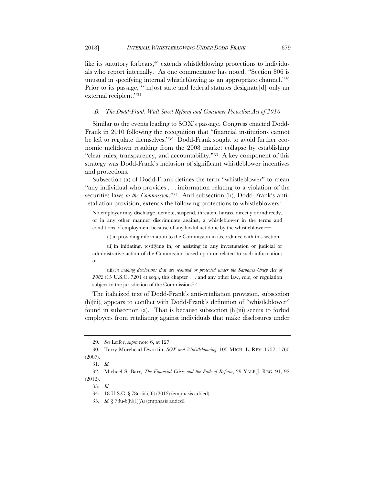like its statutory forbears,<sup>29</sup> extends whistleblowing protections to individuals who report internally. As one commentator has noted, "Section 806 is unusual in specifying internal whistleblowing as an appropriate channel."30 Prior to its passage, "[m]ost state and federal statutes designate[d] only an external recipient."31

#### *B. The Dodd-Frank Wall Street Reform and Consumer Protection Act of 2010*

Similar to the events leading to SOX's passage, Congress enacted Dodd-Frank in 2010 following the recognition that "financial institutions cannot be left to regulate themselves."32 Dodd-Frank sought to avoid further economic meltdown resulting from the 2008 market collapse by establishing "clear rules, transparency, and accountability."33 A key component of this strategy was Dodd-Frank's inclusion of significant whistleblower incentives and protections.

Subsection (a) of Dodd-Frank defines the term "whistleblower" to mean "any individual who provides . . . information relating to a violation of the securities laws *to the Commission*."<sup>34</sup> And subsection (h), Dodd-Frank's antiretaliation provision, extends the following protections to whistleblowers:

No employer may discharge, demote, suspend, threaten, harass, directly or indirectly, or in any other manner discriminate against, a whistleblower in the terms and conditions of employment because of any lawful act done by the whistleblower—

(i) in providing information to the Commission in accordance with this section;

(ii) in initiating, testifying in, or assisting in any investigation or judicial or administrative action of the Commission based upon or related to such information; or

(iii) *in making disclosures that are required or protected under the Sarbanes-Oxley Act of 2002* (15 U.S.C. 7201 et seq.), this chapter . . . and any other law, rule, or regulation subject to the jurisdiction of the Commission. 35

The italicized text of Dodd-Frank's anti-retaliation provision, subsection (h)(iii), appears to conflict with Dodd-Frank's definition of "whistleblower" found in subsection (a). That is because subsection (h)(iii) seems to forbid employers from retaliating against individuals that make disclosures under

<sup>29.</sup> *See* Leifer, *supra* note 6, at 127.

<sup>30.</sup> Terry Morehead Dworkin, *SOX and Whistleblowing*, 105 MICH. L. REV. 1757, 1760 (2007).

<sup>31.</sup> *Id.*

<sup>32.</sup> Michael S. Barr, *The Financial Crisis and the Path of Reform*, 29 YALE J. REG. 91, 92 (2012).

<sup>33.</sup> *Id.*

<sup>34.</sup> 18 U.S.C. § 78u-6(a)(6) (2012) (emphasis added).

<sup>35.</sup> *Id.* § 78u-6(h)(1)(A) (emphasis added).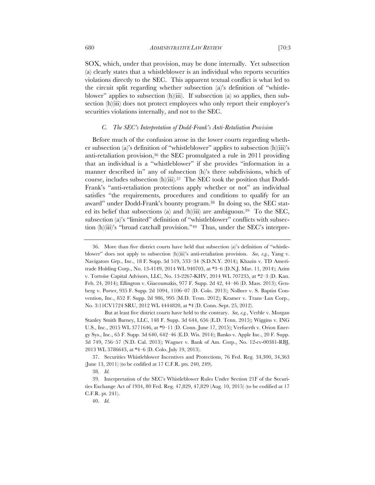SOX, which, under that provision, may be done internally. Yet subsection (a) clearly states that a whistleblower is an individual who reports securities violations directly to the SEC. This apparent textual conflict is what led to the circuit split regarding whether subsection (a)'s definition of "whistleblower" applies to subsection (h)(iii). If subsection (a) so applies, then subsection (h)(iii) does not protect employees who only report their employer's securities violations internally, and not to the SEC.

#### *C. The SEC's Interpretation of Dodd-Frank's Anti-Retaliation Provision*

Before much of the confusion arose in the lower courts regarding whether subsection (a)'s definition of "whistleblower" applies to subsection (h)(iii)'s anti-retaliation provision,<sup>36</sup> the SEC promulgated a rule in 2011 providing that an individual is a "whistleblower" if she provides "information in a manner described in" any of subsection (h)'s three subdivisions, which of course, includes subsection (h)(iii).37 The SEC took the position that Dodd-Frank's "anti-retaliation protections apply whether or not" an individual satisfies "the requirements, procedures and conditions to qualify for an award" under Dodd-Frank's bounty program.38 In doing so, the SEC stated its belief that subsections (a) and (h)(iii) are ambiguous.39 To the SEC, subsection (a)'s "limited" definition of "whistleblower" conflicts with subsection (h)(iii)'s "broad catchall provision."40 Thus, under the SEC's interpre-

37. Securities Whistleblower Incentives and Protections, 76 Fed. Reg. 34,300, 34,363 (June 13, 2011) (to be codified at 17 C.F.R. pts. 240, 249).

<sup>36.</sup> More than five district courts have held that subsection (a)'s definition of "whistleblower" does not apply to subsection (h)(iii)'s anti-retaliation provision. *See, e.g.*, Yang v. Navigators Grp., Inc., 18 F. Supp. 3d 519, 533–34 (S.D.N.Y. 2014); Khazin v. TD Ameritrade Holding Corp., No. 13-4149, 2014 WL 940703, at \*3–6 (D.N.J. Mar. 11, 2014); Azim v. Tortoise Capital Advisors, LLC, No. 13-2267-KHV, 2014 WL 707235, at \*2–3 (D. Kan. Feb. 24, 2014); Ellington v. Giacoumakis, 977 F. Supp. 2d 42, 44–46 (D. Mass. 2013); Genberg v. Porter, 935 F. Supp. 2d 1094, 1106–07 (D. Colo. 2013); Nollner v. S. Baptist Convention, Inc., 852 F. Supp. 2d 986, 995 (M.D. Tenn. 2012); Kramer v. Trans–Lux Corp., No. 3:11CV1724 SRU, 2012 WL 4444820, at \*4 (D. Conn. Sept. 25, 2012).

But at least five district courts have held to the contrary. *See, e.g.*, Verble v. Morgan Stanley Smith Barney, LLC, 148 F. Supp. 3d 644, 656 (E.D. Tenn. 2015); Wiggins v. ING U.S., Inc., 2015 WL 3771646, at \*9–11 (D. Conn. June 17, 2015); Verfuerth v. Orion Energy Sys., Inc., 65 F. Supp. 3d 640, 642–46 (E.D. Wis. 2014); Banko v. Apple Inc., 20 F. Supp. 3d 749, 756–57 (N.D. Cal. 2013); Wagner v. Bank of Am. Corp., No. 12-cv-00381-RBJ, 2013 WL 3786643, at \*4–6 (D. Colo. July 19, 2013).

<sup>38.</sup> *Id.*

<sup>39.</sup> Interpretation of the SEC's Whistleblower Rules Under Section 21F of the Securities Exchange Act of 1934, 80 Fed. Reg. 47,829, 47,829 (Aug. 10, 2015) (to be codified at 17 C.F.R. pt. 241).

<sup>40.</sup> *Id.*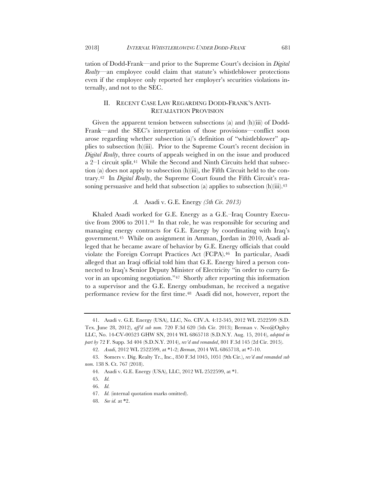tation of Dodd-Frank—and prior to the Supreme Court's decision in *Digital Realty*—an employee could claim that statute's whistleblower protections even if the employee only reported her employer's securities violations internally, and not to the SEC.

# II. RECENT CASE LAW REGARDING DODD-FRANK'S ANTI-RETALIATION PROVISION

Given the apparent tension between subsections (a) and (h)(iii) of Dodd-Frank—and the SEC's interpretation of those provisions—conflict soon arose regarding whether subsection (a)'s definition of "whistleblower" applies to subsection (h)(iii). Prior to the Supreme Court's recent decision in *Digital Realty*, three courts of appeals weighed in on the issue and produced a 2–1 circuit split.41 While the Second and Ninth Circuits held that subsection (a) does not apply to subsection (h)(iii), the Fifth Circuit held to the contrary.42 In *Digital Realty*, the Supreme Court found the Fifth Circuit's reasoning persuasive and held that subsection (a) applies to subsection  $(h)(iii)$ .<sup>43</sup>

# *A.* Asadi v. G.E. Energy *(5th Cir. 2013)*

Khaled Asadi worked for G.E. Energy as a G.E.–Iraq Country Executive from 2006 to 2011.44 In that role, he was responsible for securing and managing energy contracts for G.E. Energy by coordinating with Iraq's government.45 While on assignment in Amman, Jordan in 2010, Asadi alleged that he became aware of behavior by G.E. Energy officials that could violate the Foreign Corrupt Practices Act (FCPA).<sup>46</sup> In particular, Asadi alleged that an Iraqi official told him that G.E. Energy hired a person connected to Iraq's Senior Deputy Minister of Electricity "in order to curry favor in an upcoming negotiation."47 Shortly after reporting this information to a supervisor and the G.E. Energy ombudsman, he received a negative performance review for the first time.<sup>48</sup> Asadi did not, however, report the

<sup>41.</sup> Asadi v. G.E. Energy (USA), LLC, No. CIV.A. 4:12-345, 2012 WL 2522599 (S.D. Tex. June 28, 2012), *aff'd sub nom.* 720 F.3d 620 (5th Cir. 2013); Berman v. Neo@Ogilvy LLC, No. 14-CV-00523 GHW SN, 2014 WL 6865718 (S.D.N.Y. Aug. 15, 2014), *adopted in part by* 72 F. Supp. 3d 404 (S.D.N.Y. 2014), *rev'd and remanded*, 801 F.3d 145 (2d Cir. 2015).

<sup>42.</sup> *Asadi*, 2012 WL 2522599, at \*1-2; *Berman*, 2014 WL 6865718, at \*7-10.

<sup>43.</sup> Somers v. Dig. Realty Tr., Inc., 850 F.3d 1045, 1051 (9th Cir.), *rev'd and remanded sub nom.* 138 S. Ct. 767 (2018).

<sup>44.</sup> Asadi v. G.E. Energy (USA), LLC, 2012 WL 2522599, at \*1.

<sup>45.</sup> *Id.*

<sup>46.</sup> *Id.*

<sup>47.</sup> *Id.* (internal quotation marks omitted).

<sup>48.</sup> *See id.* at \*2.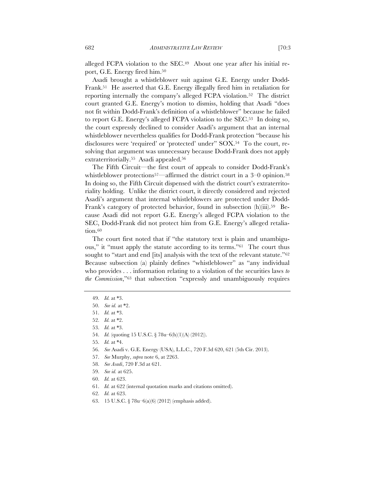alleged FCPA violation to the SEC.<sup>49</sup> About one year after his initial report, G.E. Energy fired him.50

Asadi brought a whistleblower suit against G.E. Energy under Dodd-Frank.51 He asserted that G.E. Energy illegally fired him in retaliation for reporting internally the company's alleged FCPA violation.52 The district court granted G.E. Energy's motion to dismiss, holding that Asadi "does not fit within Dodd-Frank's definition of a whistleblower" because he failed to report G.E. Energy's alleged FCPA violation to the SEC.53 In doing so, the court expressly declined to consider Asadi's argument that an internal whistleblower nevertheless qualifies for Dodd-Frank protection "because his disclosures were 'required' or 'protected' under" SOX.54 To the court, resolving that argument was unnecessary because Dodd-Frank does not apply extraterritorially.55 Asadi appealed.56

The Fifth Circuit—the first court of appeals to consider Dodd-Frank's whistleblower protections<sup>57—</sup>affirmed the district court in a  $3-0$  opinion.<sup>58</sup> In doing so, the Fifth Circuit dispensed with the district court's extraterritoriality holding. Unlike the district court, it directly considered and rejected Asadi's argument that internal whistleblowers are protected under Dodd-Frank's category of protected behavior, found in subsection (h)(iii).<sup>59</sup> Because Asadi did not report G.E. Energy's alleged FCPA violation to the SEC, Dodd-Frank did not protect him from G.E. Energy's alleged retaliation.<sup>60</sup>

The court first noted that if "the statutory text is plain and unambiguous," it "must apply the statute according to its terms."61 The court thus sought to "start and end [its] analysis with the text of the relevant statute."<sup>62</sup> Because subsection (a) plainly defines "whistleblower" as "any individual who provides . . . information relating to a violation of the securities laws *to the Commission*,"63 that subsection "expressly and unambiguously requires

59. *See id.* at 625.

- 61. *Id.* at 622 (internal quotation marks and citations omitted).
- 62. *Id.* at 623.
- 63. 15 U.S.C. § 78u–6(a)(6) (2012) (emphasis added).

<sup>49.</sup> *Id.* at \*3.

<sup>50.</sup> *See id.* at \*2.

<sup>51.</sup> *Id.* at \*3.

<sup>52.</sup> *Id.* at \*2.

<sup>53.</sup> *Id.* at \*3.

<sup>54.</sup> *Id.* (quoting 15 U.S.C. § 78u–6(h)(1)(A) (2012)).

<sup>55.</sup> *Id.* at \*4.

<sup>56.</sup> *See* Asadi v. G.E. Energy (USA), L.L.C., 720 F.3d 620, 621 (5th Cir. 2013).

<sup>57.</sup> *See* Murphy, *supra* note 6, at 2263.

<sup>58.</sup> *See Asadi*, 720 F.3d at 621.

<sup>60.</sup> *Id.* at 623.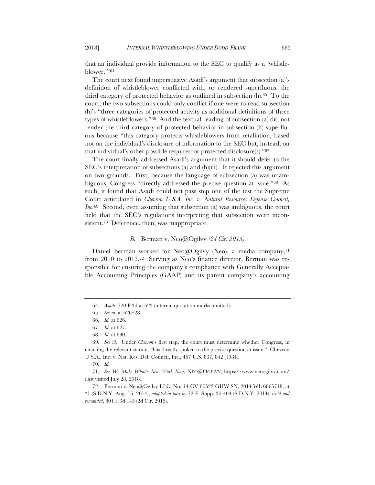that an individual provide information to the SEC to qualify as a 'whistleblower.'"64

The court next found unpersuasive Asadi's argument that subsection (a)'s definition of whistleblower conflicted with, or rendered superfluous, the third category of protected behavior as outlined in subsection  $(h)$ .<sup>65</sup> To the court, the two subsections could only conflict if one were to read subsection (h)'s "three categories of protected activity as additional definitions of three types of whistleblowers."66 And the textual reading of subsection (a) did not render the third category of protected behavior in subsection (h) superfluous because "this category protects whistleblowers from retaliation, based not on the individual's disclosure of information to the SEC but, instead, on that individual's other possible required or protected disclosure(s)."67

The court finally addressed Asadi's argument that it should defer to the SEC's interpretation of subsections (a) and (h)(iii). It rejected this argument on two grounds. First, because the language of subsection (a) was unambiguous, Congress "directly addressed the precise question at issue."68 As such, it found that Asadi could not pass step one of the test the Supreme Court articulated in *Chevron U.S.A. Inc. v. Natural Resources Defense Council, Inc.*69 Second, even assuming that subsection (a) was ambiguous, the court held that the SEC's regulations interpreting that subsection were inconsistent.<sup>70</sup> Deference, then, was inappropriate.

# *B.* Berman v. Neo@Ogilvy *(2d Cir. 2015)*

Daniel Berman worked for Neo@Ogilvy (Neo), a media company,<sup>71</sup> from 2010 to 2013.72 Serving as Neo's finance director, Berman was responsible for ensuring the company's compliance with Generally Acceptable Accounting Principles (GAAP) and its parent company's accounting

<sup>64.</sup> *Asadi*, 720 F.3d at 623 (internal quotation marks omitted).

<sup>65.</sup> *See id.* at 626–28.

<sup>66.</sup> *Id.* at 626.

<sup>67.</sup> *Id.* at 627.

<sup>68.</sup> *Id.* at 630.

<sup>69.</sup> *See id.* Under *Chevron*'s first step, the court must determine whether Congress, in enacting the relevant statute, "has directly spoken to the precise question at issue." Chevron U.S.A., Inc. v. Nat. Res. Def. Council, Inc., 467 U.S. 837, 842 (1984).

<sup>70.</sup> *Id.*

<sup>71.</sup> *See We Make What's New Work Now*, NEO@OGILVY, https://www.neoogilvy.com/ (last visited July 28, 2018).

<sup>72.</sup> Berman v. Neo@Ogilvy LLC, No. 14-CV-00523 GHW SN, 2014 WL 6865718, at \*1 (S.D.N.Y. Aug. 15, 2014), *adopted in part by* 72 F. Supp. 3d 404 (S.D.N.Y. 2014), *rev'd and remanded*, 801 F.3d 145 (2d Cir. 2015).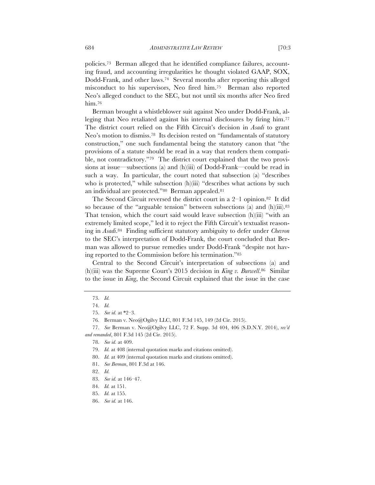policies.73 Berman alleged that he identified compliance failures, account-

ing fraud, and accounting irregularities he thought violated GAAP, SOX, Dodd-Frank, and other laws.74 Several months after reporting this alleged misconduct to his supervisors, Neo fired him.75 Berman also reported Neo's alleged conduct to the SEC, but not until six months after Neo fired him.<sup>76</sup>

Berman brought a whistleblower suit against Neo under Dodd-Frank, alleging that Neo retaliated against his internal disclosures by firing him.77 The district court relied on the Fifth Circuit's decision in *Asadi* to grant Neo's motion to dismiss.78 Its decision rested on "fundamentals of statutory construction," one such fundamental being the statutory canon that "the provisions of a statute should be read in a way that renders them compatible, not contradictory."79 The district court explained that the two provisions at issue—subsections (a) and (h)(iii) of Dodd-Frank—could be read in such a way. In particular, the court noted that subsection (a) "describes who is protected," while subsection (h)(iii) "describes what actions by such an individual are protected."80 Berman appealed.81

The Second Circuit reversed the district court in a  $2-1$  opinion.<sup>82</sup> It did so because of the "arguable tension" between subsections (a) and  $(h)(iii)$ .<sup>83</sup> That tension, which the court said would leave subsection (h)(iii) "with an extremely limited scope," led it to reject the Fifth Circuit's textualist reasoning in *Asadi*.84 Finding sufficient statutory ambiguity to defer under *Chevron* to the SEC's interpretation of Dodd-Frank, the court concluded that Berman was allowed to pursue remedies under Dodd-Frank "despite not having reported to the Commission before his termination."85

Central to the Second Circuit's interpretation of subsections (a) and (h)(iii) was the Supreme Court's 2015 decision in *King v. Burwell*.86 Similar to the issue in *King*, the Second Circuit explained that the issue in the case

<sup>73.</sup> *Id.*

<sup>74.</sup> *Id.*

<sup>75.</sup> *See id.* at \*2–3.

<sup>76</sup>*.* Berman v. Neo@Ogilvy LLC, 801 F.3d 145, 149 (2d Cir. 2015).

<sup>77.</sup> *See* Berman v. Neo@Ogilvy LLC, 72 F. Supp. 3d 404, 406 (S.D.N.Y. 2014), *rev'd and remanded*, 801 F.3d 145 (2d Cir. 2015).

<sup>78.</sup> *See id.* at 409.

<sup>79.</sup> *Id.* at 408 (internal quotation marks and citations omitted).

<sup>80.</sup> *Id.* at 409 (internal quotation marks and citations omitted).

<sup>81.</sup> *See Berman*, 801 F.3d at 146.

<sup>82.</sup> *Id.*

<sup>83.</sup> *See id.* at 146–47.

<sup>84.</sup> *Id.* at 151.

<sup>85.</sup> *Id.* at 155.

<sup>86.</sup> *See id.* at 146.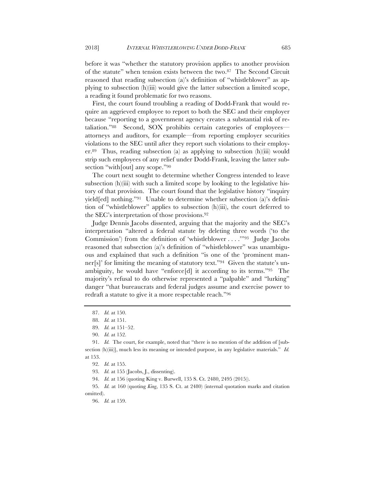before it was "whether the statutory provision applies to another provision of the statute" when tension exists between the two.87 The Second Circuit reasoned that reading subsection (a)'s definition of "whistleblower" as applying to subsection (h)(iii) would give the latter subsection a limited scope, a reading it found problematic for two reasons.

First, the court found troubling a reading of Dodd-Frank that would require an aggrieved employee to report to both the SEC and their employer because "reporting to a government agency creates a substantial risk of retaliation."88 Second, SOX prohibits certain categories of employees attorneys and auditors, for example—from reporting employer securities violations to the SEC until after they report such violations to their employer.89 Thus, reading subsection (a) as applying to subsection (h)(iii) would strip such employees of any relief under Dodd-Frank, leaving the latter subsection "with[out] any scope."<sup>90</sup>

The court next sought to determine whether Congress intended to leave subsection  $(h)(iii)$  with such a limited scope by looking to the legislative history of that provision. The court found that the legislative history "inquiry yield[ed] nothing."91 Unable to determine whether subsection (a)'s definition of "whistleblower" applies to subsection (h)(iii), the court deferred to the SEC's interpretation of those provisions.92

Judge Dennis Jacobs dissented, arguing that the majority and the SEC's interpretation "altered a federal statute by deleting three words ('to the Commission') from the definition of 'whistleblower . . . .'"93 Judge Jacobs reasoned that subsection (a)'s definition of "whistleblower" was unambiguous and explained that such a definition "is one of the 'prominent manner[s]' for limiting the meaning of statutory text."94 Given the statute's unambiguity, he would have "enforce[d] it according to its terms."95 The majority's refusal to do otherwise represented a "palpable" and "lurking" danger "that bureaucrats and federal judges assume and exercise power to redraft a statute to give it a more respectable reach."96

94. *Id.* at 156 (quoting King v. Burwell, 135 S. Ct. 2480, 2495 (2015)).

95. *Id.* at 160 (quoting *King*, 135 S. Ct. at 2480) (internal quotation marks and citation omitted).

96. *Id.* at 159.

<sup>87.</sup> *Id.* at 150.

<sup>88.</sup> *Id.* at 151.

<sup>89.</sup> *Id.* at 151–52.

<sup>90.</sup> *Id.* at 152.

<sup>91.</sup> *Id.* The court, for example, noted that "there is no mention of the addition of [subsection (h)(iii)], much less its meaning or intended purpose, in any legislative materials." *Id.* at 153.

<sup>92.</sup> *Id.* at 155.

<sup>93.</sup> *Id.* at 155 (Jacobs, J., dissenting).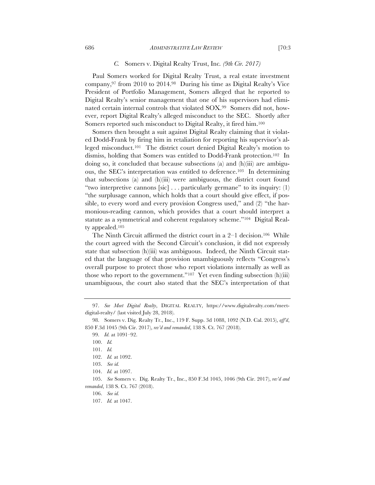#### *C.* Somers v. Digital Realty Trust, Inc*. (9th Cir. 2017)*

Paul Somers worked for Digital Realty Trust, a real estate investment company,97 from 2010 to 2014.98 During his time as Digital Realty's Vice President of Portfolio Management, Somers alleged that he reported to Digital Realty's senior management that one of his supervisors had eliminated certain internal controls that violated SOX.99 Somers did not, however, report Digital Realty's alleged misconduct to the SEC. Shortly after Somers reported such misconduct to Digital Realty, it fired him.100

Somers then brought a suit against Digital Realty claiming that it violated Dodd-Frank by firing him in retaliation for reporting his supervisor's alleged misconduct.101 The district court denied Digital Realty's motion to dismiss, holding that Somers was entitled to Dodd-Frank protection.102 In doing so, it concluded that because subsections (a) and (h)(iii) are ambiguous, the SEC's interpretation was entitled to deference.103 In determining that subsections (a) and (h)(iii) were ambiguous, the district court found "two interpretive cannons [sic] . . . particularly germane" to its inquiry: (1) "the surplusage cannon, which holds that a court should give effect, if possible, to every word and every provision Congress used," and (2) "the harmonious-reading cannon, which provides that a court should interpret a statute as a symmetrical and coherent regulatory scheme."104 Digital Realty appealed.105

The Ninth Circuit affirmed the district court in a  $2-1$  decision.<sup>106</sup> While the court agreed with the Second Circuit's conclusion, it did not expressly state that subsection (h)(iii) was ambiguous. Indeed, the Ninth Circuit stated that the language of that provision unambiguously reflects "Congress's overall purpose to protect those who report violations internally as well as those who report to the government."107 Yet even finding subsection (h)(iii) unambiguous, the court also stated that the SEC's interpretation of that

<sup>97.</sup> *See Meet Digital Realty*, DIGITAL REALTY, https://www.digitalrealty.com/meetdigital-realty/ (last visited July 28, 2018).

<sup>98.</sup> Somers v. Dig. Realty Tr., Inc., 119 F. Supp. 3d 1088, 1092 (N.D. Cal. 2015), *aff'd*, 850 F.3d 1045 (9th Cir. 2017), *rev'd and remanded*, 138 S. Ct. 767 (2018).

<sup>99.</sup> *Id.* at 1091–92.

<sup>100.</sup> *Id.*

<sup>101.</sup> *Id.*

<sup>102.</sup> *Id.* at 1092.

<sup>103.</sup> *See id.*

<sup>104.</sup> *Id.* at 1097.

<sup>105.</sup> *See* Somers v. Dig. Realty Tr., Inc., 850 F.3d 1045, 1046 (9th Cir. 2017), *rev'd and remanded*, 138 S. Ct. 767 (2018).

<sup>106.</sup> *See id.*

<sup>107.</sup> *Id.* at 1047.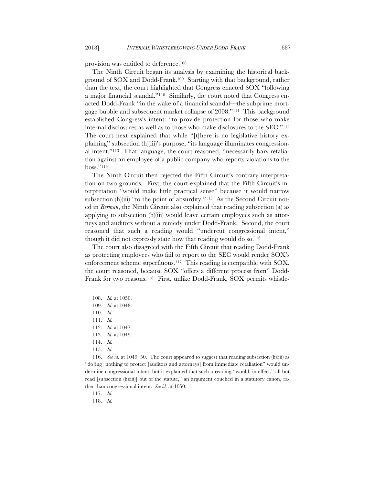provision was entitled to deference.108

The Ninth Circuit began its analysis by examining the historical background of SOX and Dodd-Frank.109 Starting with that background, rather than the text, the court highlighted that Congress enacted SOX "following a major financial scandal."110 Similarly, the court noted that Congress enacted Dodd-Frank "in the wake of a financial scandal—the subprime mortgage bubble and subsequent market collapse of 2008."111 This background established Congress's intent: "to provide protection for those who make internal disclosures as well as to those who make disclosures to the SEC."112 The court next explained that while "[t]here is no legislative history explaining" subsection (h)(iii)'s purpose, "its language illuminates congressional intent."113 That language, the court reasoned, "necessarily bars retaliation against an employee of a public company who reports violations to the boss."114

The Ninth Circuit then rejected the Fifth Circuit's contrary interpretation on two grounds. First, the court explained that the Fifth Circuit's interpretation "would make little practical sense" because it would narrow subsection (h)(iii) "to the point of absurdity."<sup>115</sup> As the Second Circuit noted in *Berman*, the Ninth Circuit also explained that reading subsection (a) as applying to subsection (h)(iii) would leave certain employees such as attorneys and auditors without a remedy under Dodd-Frank. Second, the court reasoned that such a reading would "undercut congressional intent," though it did not expressly state how that reading would do so.116

The court also disagreed with the Fifth Circuit that reading Dodd-Frank as protecting employees who fail to report to the SEC would render SOX's enforcement scheme superfluous.117 This reading is compatible with SOX, the court reasoned, because SOX "offers a different process from" Dodd-Frank for two reasons.118 First, unlike Dodd-Frank, SOX permits whistle-

112. *Id.* at 1047.

116. *See id.* at 1049–50. The court appeared to suggest that reading subsection (h)(iii) as "do[ing] nothing to protect [auditors and attorneys] from immediate retaliation" would undermine congressional intent, but it explained that such a reading "would, in effect," all but read [subsection (h)(iii)] out of the statute," an argument couched in a statutory canon, rather than congressional intent. *See id.* at 1050.

117. *Id.*

118. *Id.*

<sup>108.</sup> *Id.* at 1050.

<sup>109.</sup> *Id.* at 1048.

<sup>110.</sup> *Id.*

<sup>111.</sup> *Id.*

<sup>113.</sup> *Id.* at 1049.

<sup>114.</sup> *Id.*

<sup>115.</sup> *Id.*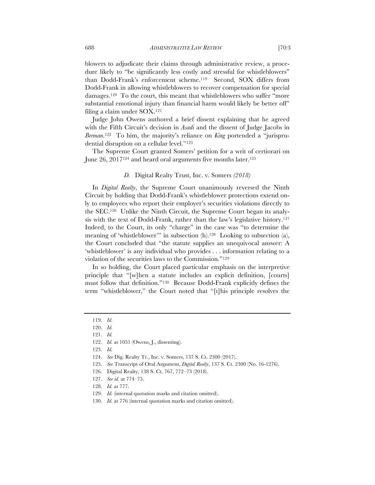blowers to adjudicate their claims through administrative review, a procedure likely to "be significantly less costly and stressful for whistleblowers" than Dodd-Frank's enforcement scheme.119 Second, SOX differs from Dodd-Frank in allowing whistleblowers to recover compensation for special damages.120 To the court, this meant that whistleblowers who suffer "more substantial emotional injury than financial harm would likely be better off" filing a claim under SOX.121

Judge John Owens authored a brief dissent explaining that he agreed with the Fifth Circuit's decision in *Asadi* and the dissent of Judge Jacobs in *Berman*.122 To him, the majority's reliance on *King* portended a "jurisprudential disruption on a cellular level."123

The Supreme Court granted Somers' petition for a writ of certiorari on June 26, 2017124 and heard oral arguments five months later.125

#### *D.* Digital Realty Trust, Inc. v. Somers *(2018)*

In *Digital Realty*, the Supreme Court unanimously reversed the Ninth Circuit by holding that Dodd-Frank's whistleblower protections extend only to employees who report their employer's securities violations directly to the SEC.126 Unlike the Ninth Circuit, the Supreme Court began its analysis with the text of Dodd-Frank, rather than the law's legislative history.127 Indeed, to the Court, its only "charge" in the case was "to determine the meaning of 'whistleblower'" in subsection (h).<sup>128</sup> Looking to subsection (a), the Court concluded that "the statute supplies an unequivocal answer: A 'whistleblower' is any individual who provides . . . information relating to a violation of the securities laws to the Commission."129

In so holding, the Court placed particular emphasis on the interpretive principle that "[w]hen a statute includes an explicit definition, [courts] must follow that definition."130 Because Dodd-Frank explicitly defines the term "whistleblower," the Court noted that "[t]his principle resolves the

- 125. *See* Transcript of Oral Argument, *Digital Realty*, 137 S. Ct. 2300 (No. 16-1276).
- 126. Digital Realty, 138 S. Ct. 767, 772–73 (2018).
- 127. *See id.* at 774–75.
- 128. *Id.* at 777.
- 129. *Id.* (internal quotation marks and citation omitted).
- 130. *Id.* at 776 (internal quotation marks and citation omitted).

<sup>119.</sup> *Id.*

<sup>120.</sup> *Id.*

<sup>121.</sup> *Id.*

<sup>122.</sup> *Id.* at 1051 (Owens, J., dissenting).

<sup>123.</sup> *Id.*

<sup>124.</sup> *See* Dig. Realty Tr., Inc. v. Somers, 137 S. Ct. 2300 (2017).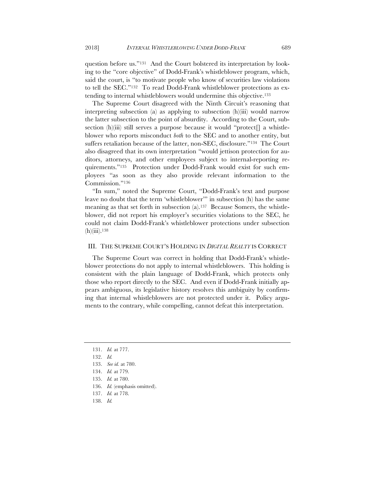question before us."131 And the Court bolstered its interpretation by looking to the "core objective" of Dodd-Frank's whistleblower program, which, said the court, is "to motivate people who know of securities law violations to tell the SEC."132 To read Dodd-Frank whistleblower protections as extending to internal whistleblowers would undermine this objective.133

The Supreme Court disagreed with the Ninth Circuit's reasoning that interpreting subsection (a) as applying to subsection (h)(iii) would narrow the latter subsection to the point of absurdity. According to the Court, subsection (h)(iii) still serves a purpose because it would "protect<sup>[]</sup> a whistleblower who reports misconduct *both* to the SEC and to another entity, but suffers retaliation because of the latter, non-SEC, disclosure."134 The Court also disagreed that its own interpretation "would jettison protection for auditors, attorneys, and other employees subject to internal-reporting requirements."135 Protection under Dodd-Frank would exist for such employees "as soon as they also provide relevant information to the Commission."136

"In sum," noted the Supreme Court, "Dodd-Frank's text and purpose leave no doubt that the term 'whistleblower'" in subsection (h) has the same meaning as that set forth in subsection  $(a)$ .<sup>137</sup> Because Somers, the whistleblower, did not report his employer's securities violations to the SEC, he could not claim Dodd-Frank's whistleblower protections under subsection  $(h)(iii).<sup>138</sup>$ 

## III. THE SUPREME COURT'S HOLDING IN *DIGITAL REALTY* IS CORRECT

The Supreme Court was correct in holding that Dodd-Frank's whistleblower protections do not apply to internal whistleblowers. This holding is consistent with the plain language of Dodd-Frank, which protects only those who report directly to the SEC. And even if Dodd-Frank initially appears ambiguous, its legislative history resolves this ambiguity by confirming that internal whistleblowers are not protected under it. Policy arguments to the contrary, while compelling, cannot defeat this interpretation.

- 137. *Id.* at 778.
- 138. *Id.*

<sup>131.</sup> *Id.* at 777.

<sup>132.</sup> *Id.*

<sup>133.</sup> *See id.* at 780.

<sup>134.</sup> *Id.* at 779.

<sup>135.</sup> *Id.* at 780.

<sup>136.</sup> *Id.* (emphasis omitted).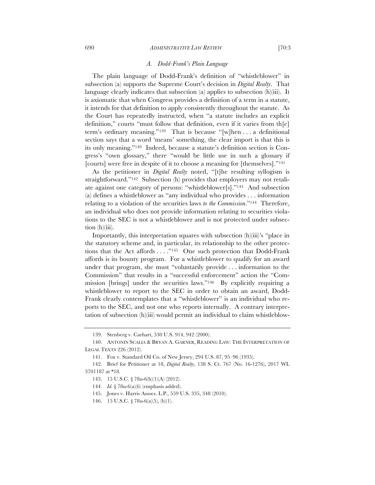The plain language of Dodd-Frank's definition of "whistleblower" in subsection (a) supports the Supreme Court's decision in *Digital Realty*. That language clearly indicates that subsection (a) applies to subsection (h)(iii). It is axiomatic that when Congress provides a definition of a term in a statute, it intends for that definition to apply consistently throughout the statute. As the Court has repeatedly instructed, when "a statute includes an explicit definition," courts "must follow that definition, even if it varies from th[e] term's ordinary meaning."139 That is because "[w]hen . . . a definitional section says that a word 'means' something, the clear import is that this is its only meaning."140 Indeed, because a statute's definition section is Congress's "own glossary," there "would be little use in such a glossary if [courts] were free in despite of it to choose a meaning for [themselves]."141

As the petitioner in *Digital Realty* noted, "[t]he resulting syllogism is straightforward."142 Subsection (h) provides that employers may not retaliate against one category of persons: "whistleblower[s]."143 And subsection (a) defines a whistleblower as "any individual who provides . . . information relating to a violation of the securities laws *to the Commission*."144 Therefore, an individual who does not provide information relating to securities violations to the SEC is not a whistleblower and is not protected under subsection (h)(iii).

Importantly, this interpretation squares with subsection (h)(iii)'s "place in the statutory scheme and, in particular, its relationship to the other protections that the Act affords . . . ."145 One such protection that Dodd-Frank affords is its bounty program. For a whistleblower to qualify for an award under that program, she must "voluntarily provide . . . information to the Commission" that results in a "successful enforcement" action the "Commission [brings] under the securities laws."146 By explicitly requiring a whistleblower to report to the SEC in order to obtain an award, Dodd-Frank clearly contemplates that a "whistleblower" is an individual who reports to the SEC, and not one who reports internally. A contrary interpretation of subsection (h)(iii) would permit an individual to claim whistleblow-

<sup>139.</sup> Stenberg v. Carhart, 530 U.S. 914, 942 (2000).

<sup>140.</sup> ANTONIN SCALIA & BRYAN A. GARNER, READING LAW: THE INTERPRETATION OF LEGAL TEXTS 226 (2012).

<sup>141.</sup> Fox v. Standard Oil Co. of New Jersey, 294 U.S. 87, 95–96 (1935).

<sup>142.</sup> Brief for Petitioner at 18, *Digital Realty*, 138 S. Ct. 767 (No. 16-1276), 2017 WL 3701187 at \*18.

<sup>143.</sup> 15 U.S.C. § 78u-6(h)(1)(A) (2012).

<sup>144.</sup> *Id.* § 78u-6(a)(6) (emphasis added).

<sup>145.</sup> Jones v. Harris Assocs. L.P., 559 U.S. 335, 348 (2010).

<sup>146.</sup> 15 U.S.C. § 78u-6(a)(5), (b)(1).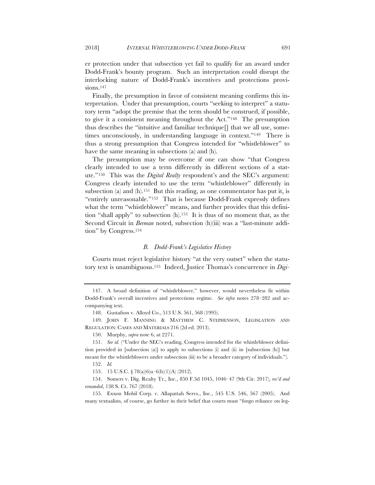er protection under that subsection yet fail to qualify for an award under Dodd-Frank's bounty program. Such an interpretation could disrupt the interlocking nature of Dodd-Frank's incentives and protections provisions.<sup>147</sup>

Finally, the presumption in favor of consistent meaning confirms this interpretation. Under that presumption, courts "seeking to interpret" a statutory term "adopt the premise that the term should be construed, if possible, to give it a consistent meaning throughout the Act."148 The presumption thus describes the "intuitive and familiar technique[] that we all use, sometimes unconsciously, in understanding language in context."149 There is thus a strong presumption that Congress intended for "whistleblower" to have the same meaning in subsections (a) and (h).

The presumption may be overcome if one can show "that Congress clearly intended to use a term differently in different sections of a statute."150 This was the *Digital Realty* respondent's and the SEC's argument: Congress clearly intended to use the term "whistleblower" differently in subsection (a) and  $(h)$ .<sup>151</sup> But this reading, as one commentator has put it, is "entirely unreasonable."152 That is because Dodd-Frank expressly defines what the term "whistleblower" means, and further provides that this definition "shall apply" to subsection (h).153 It is thus of no moment that, as the Second Circuit in *Berman* noted, subsection (h)(iii) was a "last-minute addition" by Congress.154

#### *B. Dodd-Frank's Legislative History*

Courts must reject legislative history "at the very outset" when the statutory text is unambiguous.155 Indeed, Justice Thomas's concurrence in *Digi-*

153. 15 U.S.C. § 78(a)(6)u–6(h)(1)(A) (2012).

154. Somers v. Dig. Realty Tr., Inc., 850 F.3d 1045, 1046–47 (9th Cir. 2017), *rev'd and remanded*, 138 S. Ct. 767 (2018).

155. Exxon Mobil Corp. v. Allapattah Servs., Inc., 545 U.S. 546, 567 (2005). And many textualists, of course, go further in their belief that courts must "forgo reliance on leg-

<sup>147.</sup> A broad definition of "whistleblower," however, would nevertheless fit within Dodd-Frank's overall incentives and protections regime. *See infra* notes 278–282 and accompanying text.

<sup>148.</sup> Gustafson v. Alloyd Co., 513 U.S. 561, 568 (1995).

<sup>149.</sup> JOHN F. MANNING & MATTHEW C. STEPHENSON, LEGISLATION AND REGULATION: CASES AND MATERIALS 216 (2d ed. 2013).

<sup>150.</sup> Murphy, *supra* note 6, at 2271.

<sup>151.</sup> *See id.* ("Under the SEC's reading, Congress intended for the whistleblower definition provided in [subsection (a)] to apply to subsections (i) and (ii) in [subsection (h)] but meant for the whistleblowers under subsection (iii) to be a broader category of individuals.").

<sup>152.</sup> *Id.*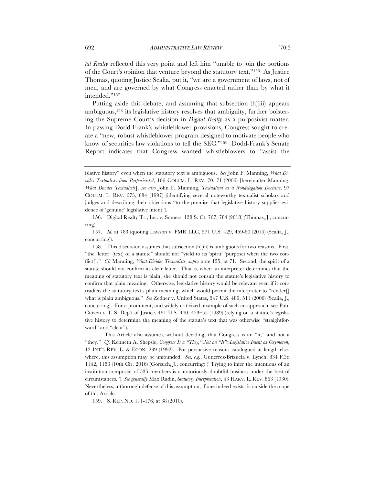*tal Realty* reflected this very point and left him "unable to join the portions of the Court's opinion that venture beyond the statutory text."156 As Justice Thomas, quoting Justice Scalia, put it, "we are a government of laws, not of men, and are governed by what Congress enacted rather than by what it intended."157

Putting aside this debate, and assuming that subsection (h)(iii) appears ambiguous,158 its legislative history resolves that ambiguity, further bolstering the Supreme Court's decision in *Digital Realty* as a purposivist matter. In passing Dodd-Frank's whistleblower provisions, Congress sought to create a "new, robust whistleblower program designed to motivate people who know of securities law violations to tell the SEC."159 Dodd-Frank's Senate Report indicates that Congress wanted whistleblowers to "assist the

156. Digital Realty Tr., Inc. v. Somers, 138 S. Ct. 767, 784 (2018) (Thomas, J., concurring).

157. *Id.* at 783 (quoting Lawson v. FMR LLC, 571 U.S. 429, 459-60 (2014) (Scalia, J., concurring)).

158. This discussion assumes that subsection (h)(iii) is ambiguous for two reasons. First, "the 'letter' (text) of a statute" should not "yield to its 'spirit' (purpose) when the two conflict[]." *Cf.* Manning, *What Divides Textualists*, *supra* note 155, at 71. Second, the spirit of a statute should not confirm its clear letter. That is, when an interpreter determines that the meaning of statutory text is plain, she should not consult the statute's legislative history to confirm that plain meaning. Otherwise, legislative history would be relevant even if it contradicts the statutory text's plain meaning, which would permit the interpreter to "render[] what is plain ambiguous." *See* Zedner v. United States, 547 U.S. 489, 511 (2006) (Scalia, J., concurring). For a prominent, and widely criticized, example of such an approach, see Pub. Citizen v. U.S. Dep't of Justice, 491 U.S. 440, 453–55 (1989) (relying on a statute's legislative history to determine the meaning of the statute's text that was otherwise "straightforward" and "clear").

This Article also assumes, without deciding, that Congress is an "it," and not a "they." *Cf.* Kenneth A. Shepsle, *Congress Is a "They," Not an "It": Legislative Intent as Oxymoron*, 12 INT'L REV. L. & ECON. 239 (1992). For persuasive reasons catalogued at length elsewhere, this assumption may be unfounded. *See, e.g.*, Gutierrez-Brizuela v. Lynch, 834 F.3d 1142, 1153 (10th Cir. 2016) (Gorsuch, J., concurring) ("Trying to infer the intentions of an institution composed of 535 members is a notoriously doubtful business under the best of circumstances."). *See generally* Max Radin, *Statutory Interpretation*, 43 HARV. L. REV. 863 (1930). Nevertheless, a thorough defense of this assumption, if one indeed exists, is outside the scope of this Article.

159. S. REP. NO. 111-176, at 38 (2010).

islative history" even when the statutory text is ambiguous. *See* John F. Manning, *What Divides Textualists from Purposivists?*, 106 COLUM. L. REV. 70, 71 (2006) [hereinafter Manning, *What Divides Textualists*]; *see also* John F. Manning, *Textualism as a Nondelegation Doctrine*, 97 COLUM. L. REV. 673, 684 (1997) (identifying several noteworthy textualist scholars and judges and describing their objections "to the premise that legislative history supplies evidence of 'genuine' legislative intent").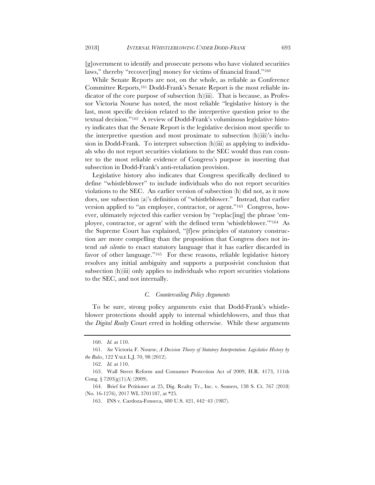[g]overnment to identify and prosecute persons who have violated securities laws," thereby "recover[ing] money for victims of financial fraud."160

While Senate Reports are not, on the whole, as reliable as Conference Committee Reports,161 Dodd-Frank's Senate Report is the most reliable indicator of the core purpose of subsection (h)(iii). That is because, as Professor Victoria Nourse has noted, the most reliable "legislative history is the last, most specific decision related to the interpretive question prior to the textual decision."162 A review of Dodd-Frank's voluminous legislative history indicates that the Senate Report is the legislative decision most specific to the interpretive question and most proximate to subsection (h)(iii)'s inclusion in Dodd-Frank. To interpret subsection (h)(iii) as applying to individuals who do not report securities violations to the SEC would thus run counter to the most reliable evidence of Congress's purpose in inserting that subsection in Dodd-Frank's anti-retaliation provision.

Legislative history also indicates that Congress specifically declined to define "whistleblower" to include individuals who do not report securities violations to the SEC. An earlier version of subsection (h) did not, as it now does, use subsection (a)'s definition of "whistleblower." Instead, that earlier version applied to "an employee, contractor, or agent."163 Congress, however, ultimately rejected this earlier version by "replac[ing] the phrase 'employee, contractor, or agent' with the defined term 'whistleblower.'"164 As the Supreme Court has explained, "[f]ew principles of statutory construction are more compelling than the proposition that Congress does not intend *sub silentio* to enact statutory language that it has earlier discarded in favor of other language."<sup>165</sup> For these reasons, reliable legislative history resolves any initial ambiguity and supports a purposivist conclusion that subsection (h)(iii) only applies to individuals who report securities violations to the SEC, and not internally.

#### *C. Countervailing Policy Arguments*

To be sure, strong policy arguments exist that Dodd-Frank's whistleblower protections should apply to internal whistleblowers, and thus that the *Digital Realty* Court erred in holding otherwise. While these arguments

<sup>160.</sup> *Id.* at 110.

<sup>161.</sup> *See* Victoria F. Nourse, *A Decision Theory of Statutory Interpretation: Legislative History by the Rules*, 122 YALE L.J. 70, 98 (2012).

<sup>162.</sup> *Id.* at 110.

<sup>163.</sup> Wall Street Reform and Consumer Protection Act of 2009, H.R. 4173, 111th Cong.  $\S 7203(g)(1)(A) (2009)$ .

<sup>164.</sup> Brief for Petitioner at 25, Dig. Realty Tr., Inc. v. Somers, 138 S. Ct. 767 (2018) (No. 16-1276), 2017 WL 3701187, at \*25.

<sup>165.</sup> INS v. Cardoza-Fonseca, 480 U.S. 421, 442–43 (1987).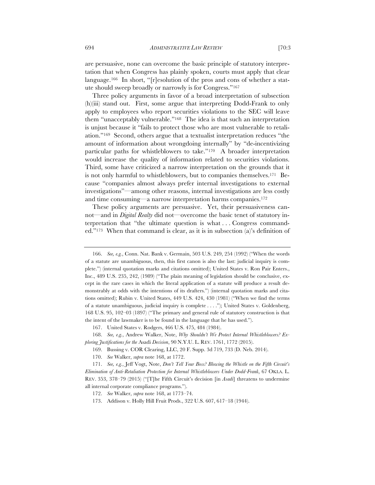are persuasive, none can overcome the basic principle of statutory interpretation that when Congress has plainly spoken, courts must apply that clear language.166 In short, "[r]esolution of the pros and cons of whether a statute should sweep broadly or narrowly is for Congress."167

Three policy arguments in favor of a broad interpretation of subsection (h)(iii) stand out. First, some argue that interpreting Dodd-Frank to only apply to employees who report securities violations to the SEC will leave them "unacceptably vulnerable."168 The idea is that such an interpretation is unjust because it "fails to protect those who are most vulnerable to retaliation."169 Second, others argue that a textualist interpretation reduces "the amount of information about wrongdoing internally" by "de-incentivizing particular paths for whistleblowers to take."170 A broader interpretation would increase the quality of information related to securities violations. Third, some have criticized a narrow interpretation on the grounds that it is not only harmful to whistleblowers, but to companies themselves.171 Because "companies almost always prefer internal investigations to external investigations"—among other reasons, internal investigations are less costly and time consuming—a narrow interpretation harms companies.172

These policy arguments are persuasive. Yet, their persuasiveness cannot—and in *Digital Realty* did not—overcome the basic tenet of statutory interpretation that "the ultimate question is what . . . Congress commanded."173 When that command is clear, as it is in subsection (a)'s definition of

<sup>166.</sup> *See, e.g.*, Conn. Nat. Bank v. Germain, 503 U.S. 249, 254 (1992) ("When the words of a statute are unambiguous, then, this first canon is also the last: judicial inquiry is complete.") (internal quotation marks and citations omitted); United States v. Ron Pair Enters., Inc., 489 U.S. 235, 242, (1989) ("The plain meaning of legislation should be conclusive, except in the rare cases in which the literal application of a statute will produce a result demonstrably at odds with the intentions of its drafters.") (internal quotation marks and citations omitted); Rubin v. United States, 449 U.S. 424, 430 (1981) ("When we find the terms of a statute unambiguous, judicial inquiry is complete . . . ."); United States v. Goldenberg, 168 U.S. 95, 102–03 (1897) ("The primary and general rule of statutory construction is that the intent of the lawmaker is to be found in the language that he has used.").

<sup>167.</sup> United States v. Rodgers, 466 U.S. 475, 484 (1984).

<sup>168.</sup> *See, e.g.*, Andrew Walker, Note, *Why Shouldn't We Protect Internal Whistleblowers? Exploring Justifications for the* Asadi *Decision*, 90 N.Y.U. L. REV. 1761, 1772 (2015).

<sup>169.</sup> Bussing v. COR Clearing, LLC, 20 F. Supp. 3d 719, 733 (D. Neb. 2014).

<sup>170.</sup> *See* Walker, *supra* note 168, at 1772.

<sup>171.</sup> *See, e.g.*, Jeff Vogt, Note, *Don't Tell Your Boss? Blowing the Whistle on the Fifth Circuit's Elimination of Anti-Retaliation Protection for Internal Whistleblowers Under Dodd-Frank*, 67 OKLA. L. REV. 353, 378–79 (2015) ("[T]he Fifth Circuit's decision [in *Asadi*] threatens to undermine all internal corporate compliance programs.").

<sup>172.</sup> *See* Walker, *supra* note 168, at 1773–74.

<sup>173.</sup> Addison v. Holly Hill Fruit Prods., 322 U.S. 607, 617–18 (1944).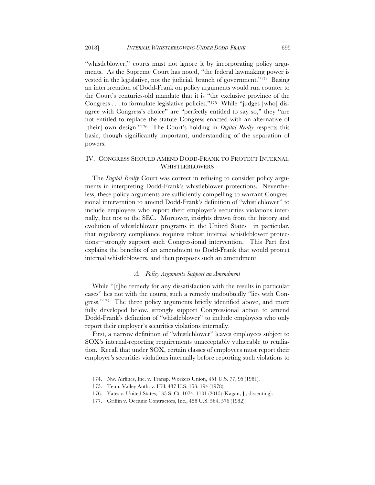"whistleblower," courts must not ignore it by incorporating policy arguments. As the Supreme Court has noted, "the federal lawmaking power is vested in the legislative, not the judicial, branch of government."174 Basing an interpretation of Dodd-Frank on policy arguments would run counter to the Court's centuries-old mandate that it is "the exclusive province of the Congress . . . to formulate legislative policies."175 While "judges [who] disagree with Congress's choice" are "perfectly entitled to say so," they "are not entitled to replace the statute Congress enacted with an alternative of [their] own design."<sup>176</sup> The Court's holding in *Digital Realty* respects this basic, though significantly important, understanding of the separation of powers.

# IV. CONGRESS SHOULD AMEND DODD-FRANK TO PROTECT INTERNAL **WHISTLEBLOWERS**

The *Digital Realty* Court was correct in refusing to consider policy arguments in interpreting Dodd-Frank's whistleblower protections. Nevertheless, these policy arguments are sufficiently compelling to warrant Congressional intervention to amend Dodd-Frank's definition of "whistleblower" to include employees who report their employer's securities violations internally, but not to the SEC. Moreover, insights drawn from the history and evolution of whistleblower programs in the United States—in particular, that regulatory compliance requires robust internal whistleblower protections—strongly support such Congressional intervention. This Part first explains the benefits of an amendment to Dodd-Frank that would protect internal whistleblowers, and then proposes such an amendment.

# *A. Policy Arguments Support an Amendment*

While "[t]he remedy for any dissatisfaction with the results in particular cases" lies not with the courts, such a remedy undoubtedly "lies with Congress."<sup>177</sup> The three policy arguments briefly identified above, and more fully developed below, strongly support Congressional action to amend Dodd-Frank's definition of "whistleblower" to include employees who only report their employer's securities violations internally.

First, a narrow definition of "whistleblower" leaves employees subject to SOX's internal-reporting requirements unacceptably vulnerable to retaliation. Recall that under SOX, certain classes of employees must report their employer's securities violations internally before reporting such violations to

<sup>174.</sup> Nw. Airlines, Inc. v. Transp. Workers Union, 451 U.S. 77, 95 (1981).

<sup>175.</sup> Tenn. Valley Auth. v. Hill, 437 U.S. 153, 194 (1978).

<sup>176.</sup> Yates v. United States, 135 S. Ct. 1074, 1101 (2015) (Kagan, J., dissenting).

<sup>177.</sup> Griffin v. Oceanic Contractors, Inc., 458 U.S. 564, 576 (1982).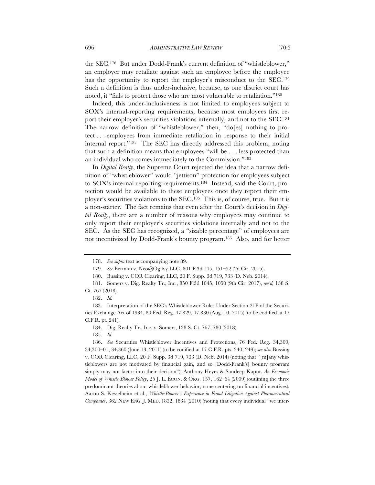the SEC.178 But under Dodd-Frank's current definition of "whistleblower," an employer may retaliate against such an employee before the employee has the opportunity to report the employer's misconduct to the SEC.<sup>179</sup> Such a definition is thus under-inclusive, because, as one district court has noted, it "fails to protect those who are most vulnerable to retaliation."180

Indeed, this under-inclusiveness is not limited to employees subject to SOX's internal-reporting requirements, because most employees first report their employer's securities violations internally, and not to the SEC.181 The narrow definition of "whistleblower," then, "do[es] nothing to protect . . . employees from immediate retaliation in response to their initial internal report."182 The SEC has directly addressed this problem, noting that such a definition means that employees "will be . . . less protected than an individual who comes immediately to the Commission."183

In *Digital Realty*, the Supreme Court rejected the idea that a narrow definition of "whistleblower" would "jettison" protection for employees subject to SOX's internal-reporting requirements.184 Instead, said the Court, protection would be available to these employees once they report their employer's securities violations to the SEC.185 This is, of course, true. But it is a non-starter. The fact remains that even after the Court's decision in *Digital Realty*, there are a number of reasons why employees may continue to only report their employer's securities violations internally and not to the SEC. As the SEC has recognized, a "sizable percentage" of employees are not incentivized by Dodd-Frank's bounty program.186 Also, and for better

<sup>178.</sup> *See supra* text accompanying note 89.

<sup>179.</sup> *See* Berman v. Neo@Ogilvy LLC, 801 F.3d 145, 151–52 (2d Cir. 2015).

<sup>180.</sup> Bussing v. COR Clearing, LLC, 20 F. Supp. 3d 719, 733 (D. Neb. 2014).

<sup>181.</sup> Somers v. Dig. Realty Tr., Inc., 850 F.3d 1045, 1050 (9th Cir. 2017), *rev'd,* 138 S. Ct. 767 (2018).

<sup>182.</sup> *Id.*

<sup>183.</sup> Interpretation of the SEC's Whistleblower Rules Under Section 21F of the Securities Exchange Act of 1934, 80 Fed. Reg. 47,829, 47,830 (Aug. 10, 2015) (to be codified at 17 C.F.R. pt. 241).

<sup>184.</sup> Dig. Realty Tr., Inc. v. Somers, 138 S. Ct. 767, 780 (2018)

<sup>185.</sup> *Id.*

<sup>186.</sup> *See* Securities Whistleblower Incentives and Protections, 76 Fed. Reg. 34,300, 34,300–01, 34,360 (June 13, 2011) (to be codified at 17 C.F.R. pts. 240, 249); *see also* Bussing v. COR Clearing, LLC, 20 F. Supp. 3d 719, 733 (D. Neb. 2014) (noting that "[m]any whistleblowers are not motivated by financial gain, and so [Dodd-Frank's] bounty program simply may not factor into their decision"); Anthony Heyes & Sandeep Kapur, *An Economic Model of Whistle-Blower Policy*, 25 J. L. ECON. & ORG. 157, 162–64 (2009) (outlining the three predominant theories about whistleblower behavior, none centering on financial incentives); Aaron S. Kesselheim et al., *Whistle-Blower's Experience in Fraud Litigation Against Pharmaceutical Companies*, 362 NEW ENG. J. MED. 1832, 1834 (2010) (noting that every individual "we inter-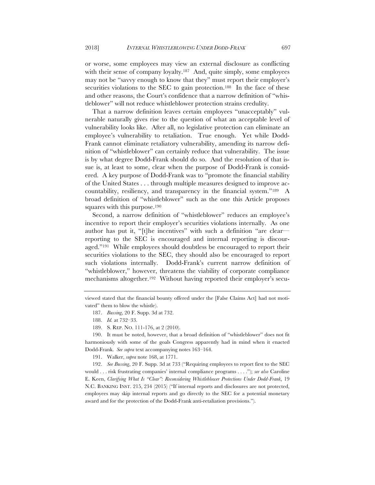or worse, some employees may view an external disclosure as conflicting with their sense of company loyalty.<sup>187</sup> And, quite simply, some employees may not be "savvy enough to know that they" must report their employer's securities violations to the SEC to gain protection.<sup>188</sup> In the face of these and other reasons, the Court's confidence that a narrow definition of "whistleblower" will not reduce whistleblower protection strains credulity.

That a narrow definition leaves certain employees "unacceptably" vulnerable naturally gives rise to the question of what an acceptable level of vulnerability looks like. After all, no legislative protection can eliminate an employee's vulnerability to retaliation. True enough. Yet while Dodd-Frank cannot eliminate retaliatory vulnerability, amending its narrow definition of "whistleblower" can certainly reduce that vulnerability. The issue is by what degree Dodd-Frank should do so. And the resolution of that issue is, at least to some, clear when the purpose of Dodd-Frank is considered. A key purpose of Dodd-Frank was to "promote the financial stability of the United States . . . through multiple measures designed to improve accountability, resiliency, and transparency in the financial system."189 A broad definition of "whistleblower" such as the one this Article proposes squares with this purpose.<sup>190</sup>

Second, a narrow definition of "whistleblower" reduces an employee's incentive to report their employer's securities violations internally. As one author has put it, "[t]he incentives" with such a definition "are clear reporting to the SEC is encouraged and internal reporting is discouraged."191 While employees should doubtless be encouraged to report their securities violations to the SEC, they should also be encouraged to report such violations internally. Dodd-Frank's current narrow definition of "whistleblower," however, threatens the viability of corporate compliance mechanisms altogether.192 Without having reported their employer's secu-

187. *Bussing*, 20 F. Supp. 3d at 732.

189. S. REP. NO. 111-176, at 2 (2010).

190. It must be noted, however, that a broad definition of "whistleblower" does not fit harmoniously with some of the goals Congress apparently had in mind when it enacted Dodd-Frank. *See supra* text accompanying notes 163–164.

191. Walker, *supra* note 168, at 1771.

192. *See Bussing*, 20 F. Supp. 3d at 733 ("Requiring employees to report first to the SEC would . . . risk frustrating companies' internal compliance programs . . . ."); *see also* Caroline E. Keen, *Clarifying What Is "Clear": Reconsidering Whistleblower Protections Under Dodd-Frank*, 19 N.C. BANKING INST. 215, 234 (2015) ("If internal reports and disclosures are not protected, employees may skip internal reports and go directly to the SEC for a potential monetary award and for the protection of the Dodd-Frank anti-retaliation provisions.").

viewed stated that the financial bounty offered under the [False Claims Act] had not motivated" them to blow the whistle).

<sup>188.</sup> *Id.* at 732–33.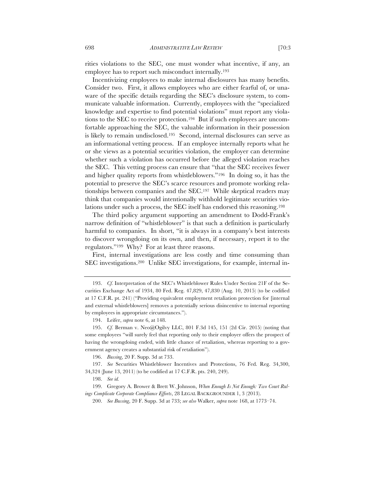rities violations to the SEC, one must wonder what incentive, if any, an employee has to report such misconduct internally.193

Incentivizing employees to make internal disclosures has many benefits. Consider two. First, it allows employees who are either fearful of, or unaware of the specific details regarding the SEC's disclosure system, to communicate valuable information. Currently, employees with the "specialized knowledge and expertise to find potential violations" must report any violations to the SEC to receive protection.194 But if such employees are uncomfortable approaching the SEC, the valuable information in their possession is likely to remain undisclosed.195 Second, internal disclosures can serve as an informational vetting process. If an employee internally reports what he or she views as a potential securities violation, the employer can determine whether such a violation has occurred before the alleged violation reaches the SEC. This vetting process can ensure that "that the SEC receives fewer and higher quality reports from whistleblowers."196 In doing so, it has the potential to preserve the SEC's scarce resources and promote working relationships between companies and the SEC.197 While skeptical readers may think that companies would intentionally withhold legitimate securities violations under such a process, the SEC itself has endorsed this reasoning.198

The third policy argument supporting an amendment to Dodd-Frank's narrow definition of "whistleblower" is that such a definition is particularly harmful to companies. In short, "it is always in a company's best interests to discover wrongdoing on its own, and then, if necessary, report it to the regulators."199 Why? For at least three reasons.

First, internal investigations are less costly and time consuming than SEC investigations.200 Unlike SEC investigations, for example, internal in-

196. *Bussing*, 20 F. Supp. 3d at 733.

197. *See* Securities Whistleblower Incentives and Protections, 76 Fed. Reg. 34,300, 34,324 (June 13, 2011) (to be codified at 17 C.F.R. pts. 240, 249).

198. *See id.*

199. Gregory A. Brower & Brett W. Johnson, *When Enough Is Not Enough: Two Court Rulings Complicate Corporate Compliance Efforts*, 28 LEGAL BACKGROUNDER 1, 3 (2013).

200. *See Bussing*, 20 F. Supp. 3d at 733; *see also* Walker, *supra* note 168, at 1773–74.

<sup>193.</sup> *Cf.* Interpretation of the SEC's Whistleblower Rules Under Section 21F of the Securities Exchange Act of 1934, 80 Fed. Reg. 47,829, 47,830 (Aug. 10, 2015) (to be codified at 17 C.F.R. pt. 241) ("Providing equivalent employment retaliation protection for [internal and external whistleblowers] removes a potentially serious disincentive to internal reporting by employees in appropriate circumstances.").

<sup>194.</sup> Leifer, *supra* note 6, at 148.

<sup>195.</sup> *Cf.* Berman v. Neo@Ogilvy LLC, 801 F.3d 145, 151 (2d Cir. 2015) (noting that some employees "will surely feel that reporting only to their employer offers the prospect of having the wrongdoing ended, with little chance of retaliation, whereas reporting to a government agency creates a substantial risk of retaliation").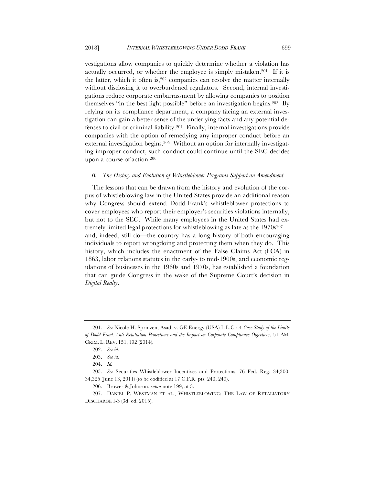vestigations allow companies to quickly determine whether a violation has actually occurred, or whether the employee is simply mistaken.201 If it is the latter, which it often is,202 companies can resolve the matter internally without disclosing it to overburdened regulators. Second, internal investigations reduce corporate embarrassment by allowing companies to position themselves "in the best light possible" before an investigation begins.203 By relying on its compliance department, a company facing an external investigation can gain a better sense of the underlying facts and any potential defenses to civil or criminal liability.204 Finally, internal investigations provide companies with the option of remedying any improper conduct before an external investigation begins.205 Without an option for internally investigating improper conduct, such conduct could continue until the SEC decides upon a course of action.206

### *B. The History and Evolution of Whistleblower Programs Support an Amendment*

The lessons that can be drawn from the history and evolution of the corpus of whistleblowing law in the United States provide an additional reason why Congress should extend Dodd-Frank's whistleblower protections to cover employees who report their employer's securities violations internally, but not to the SEC. While many employees in the United States had extremely limited legal protections for whistleblowing as late as the  $1970s^{207}$  and, indeed, still do—the country has a long history of both encouraging individuals to report wrongdoing and protecting them when they do. This history, which includes the enactment of the False Claims Act (FCA) in 1863, labor relations statutes in the early- to mid-1900s, and economic regulations of businesses in the 1960s and 1970s, has established a foundation that can guide Congress in the wake of the Supreme Court's decision in *Digital Realty*.

<sup>201.</sup> *See* Nicole H. Sprinzen, Asadi v. GE Energy (USA) L.L.C.*: A Case Study of the Limits of Dodd-Frank Anti-Retaliation Protections and the Impact on Corporate Compliance Objectives*, 51 AM. CRIM. L. REV. 151, 192 (2014).

<sup>202.</sup> *See id.*

<sup>203.</sup> *See id.*

<sup>204.</sup> *Id.* 

<sup>205.</sup> *See* Securities Whistleblower Incentives and Protections, 76 Fed. Reg. 34,300, 34,325 (June 13, 2011) (to be codified at 17 C.F.R. pts. 240, 249).

<sup>206.</sup> Brower & Johnson, *supra* note 199, at 3.

<sup>207.</sup> DANIEL P. WESTMAN ET AL., WHISTLEBLOWING: THE LAW OF RETALIATORY DISCHARGE 1-3 (3d. ed. 2015).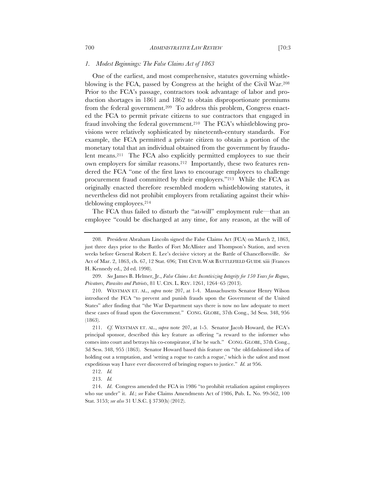#### *1. Modest Beginnings: The False Claims Act of 1863*

One of the earliest, and most comprehensive, statutes governing whistleblowing is the FCA, passed by Congress at the height of the Civil War.208 Prior to the FCA's passage, contractors took advantage of labor and production shortages in 1861 and 1862 to obtain disproportionate premiums from the federal government.209 To address this problem, Congress enacted the FCA to permit private citizens to sue contractors that engaged in fraud involving the federal government.210 The FCA's whistleblowing provisions were relatively sophisticated by nineteenth-century standards. For example, the FCA permitted a private citizen to obtain a portion of the monetary total that an individual obtained from the government by fraudulent means.211 The FCA also explicitly permitted employees to sue their own employers for similar reasons.212 Importantly, these two features rendered the FCA "one of the first laws to encourage employees to challenge procurement fraud committed by their employers."213 While the FCA as originally enacted therefore resembled modern whistleblowing statutes, it nevertheless did not prohibit employers from retaliating against their whistleblowing employees.214

The FCA thus failed to disturb the "at-will" employment rule—that an employee "could be discharged at any time, for any reason, at the will of

209. *See* James B. Helmer, Jr., *False Claims Act: Incentivizing Integrity for 150 Years for Rogues, Privateers, Parasites and Patriots*, 81 U. CIN. L. REV. 1261, 1264–65 (2013).

<sup>208.</sup> President Abraham Lincoln signed the False Claims Act (FCA) on March 2, 1863, just three days prior to the Battles of Fort McAllister and Thompson's Station, and seven weeks before General Robert E. Lee's decisive victory at the Battle of Chancellorsville. *See* Act of Mar. 2, 1863, ch. 67, 12 Stat. 696; THE CIVIL WAR BATTLEFIELD GUIDE xiii (Frances H. Kennedy ed., 2d ed. 1998).

<sup>210.</sup> WESTMAN ET. AL., *supra* note 207, at 1-4. Massachusetts Senator Henry Wilson introduced the FCA "to prevent and punish frauds upon the Government of the United States" after finding that "the War Department says there is now no law adequate to meet these cases of fraud upon the Government." CONG. GLOBE, 37th Cong., 3d Sess. 348, 956 (1863).

<sup>211.</sup> *Cf.* WESTMAN ET. AL., *supra* note 207, at 1-5. Senator Jacob Howard, the FCA's principal sponsor, described this key feature as offering "a reward to the informer who comes into court and betrays his co-conspirator, if he be such." CONG. GLOBE, 37th Cong., 3d Sess. 348, 955 (1863). Senator Howard based this feature on "the old-fashioned idea of holding out a temptation, and 'setting a rogue to catch a rogue,' which is the safest and most expeditious way I have ever discovered of bringing rogues to justice." *Id.* at 956.

<sup>212.</sup> *Id.*

<sup>213.</sup> *Id.*

<sup>214.</sup> *Id*. Congress amended the FCA in 1986 "to prohibit retaliation against employees who sue under" it. *Id.*; *see* False Claims Amendments Act of 1986, Pub. L. No. 99-562, 100 Stat. 3153; *see also* 31 U.S.C. § 3730(h) (2012).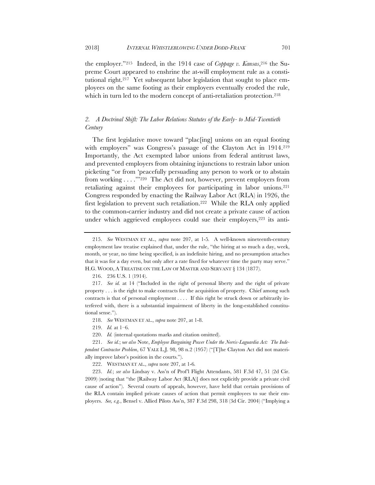the employer."<sup>215</sup> Indeed, in the 1914 case of *Coppage v. Kansas*,<sup>216</sup> the Supreme Court appeared to enshrine the at-will employment rule as a constitutional right.217 Yet subsequent labor legislation that sought to place employees on the same footing as their employers eventually eroded the rule, which in turn led to the modern concept of anti-retaliation protection.<sup>218</sup>

# *2. A Doctrinal Shift: The Labor Relations Statutes of the Early- to Mid-Twentieth Century*

The first legislative move toward "plac[ing] unions on an equal footing with employers" was Congress's passage of the Clayton Act in 1914.<sup>219</sup> Importantly, the Act exempted labor unions from federal antitrust laws, and prevented employers from obtaining injunctions to restrain labor union picketing "or from 'peacefully persuading any person to work or to abstain from working . . . .'"220 The Act did not, however, prevent employers from retaliating against their employees for participating in labor unions.<sup>221</sup> Congress responded by enacting the Railway Labor Act (RLA) in 1926, the first legislation to prevent such retaliation.<sup>222</sup> While the RLA only applied to the common-carrier industry and did not create a private cause of action under which aggrieved employees could sue their employers,<sup>223</sup> its anti-

218. *See* WESTMAN ET AL., *supra* note 207, at 1-8.

219. *Id.* at 1–6.

220. *Id.* (internal quotations marks and citation omitted).

222. WESTMAN ET AL., *supra* note 207, at 1-6*.*

223. *Id.*; *see also* Lindsay v. Ass'n of Prof'l Flight Attendants, 581 F.3d 47, 51 (2d Cir. 2009) (noting that "the [Railway Labor Act (RLA)] does not explicitly provide a private civil cause of action"). Several courts of appeals, however, have held that certain provisions of the RLA contain implied private causes of action that permit employees to sue their employers. *See, e.g.*, Bensel v. Allied Pilots Ass'n, 387 F.3d 298, 318 (3d Cir. 2004) ("Implying a

<sup>215.</sup> *See* WESTMAN ET AL., *supra* note 207, at 1-5*.* A well-known nineteenth-century employment law treatise explained that, under the rule, "the hiring at so much a day, week, month, or year, no time being specified, is an indefinite hiring, and no presumption attaches that it was for a day even, but only after a rate fixed for whatever time the party may serve." H.G. WOOD, A TREATISE ON THE LAW OF MASTER AND SERVANT § 134 (1877).

<sup>216.</sup> 236 U.S. 1 (1914).

<sup>217.</sup> *See id.* at 14 ("Included in the right of personal liberty and the right of private property . . . is the right to make contracts for the acquisition of property. Chief among such contracts is that of personal employment . . . . If this right be struck down or arbitrarily interfered with, there is a substantial impairment of liberty in the long-established constitutional sense.").

<sup>221.</sup> *See id.*; s*ee also* Note, *Employee Bargaining Power Under the Norris-Laguardia Act: The Independent Contractor Problem*, 67 YALE L.J. 98, 98 n.2 (1957) ("[T]he Clayton Act did not materially improve labor's position in the courts.").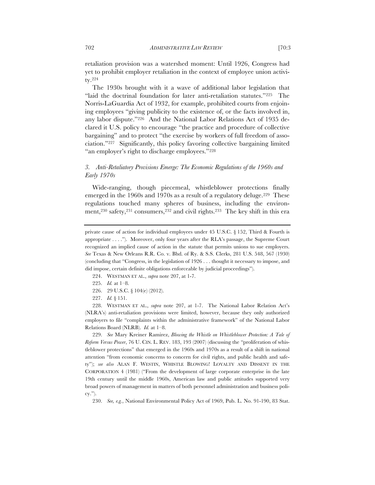retaliation provision was a watershed moment: Until 1926, Congress had yet to prohibit employer retaliation in the context of employee union activity.224

The 1930s brought with it a wave of additional labor legislation that "laid the doctrinal foundation for later anti-retaliation statutes."225 The Norris-LaGuardia Act of 1932, for example, prohibited courts from enjoining employees "giving publicity to the existence of, or the facts involved in, any labor dispute."226 And the National Labor Relations Act of 1935 declared it U.S. policy to encourage "the practice and procedure of collective bargaining" and to protect "the exercise by workers of full freedom of association."227 Significantly, this policy favoring collective bargaining limited "an employer's right to discharge employees."<sup>228</sup>

# *3. Anti-Retaliatory Provisions Emerge: The Economic Regulations of the 1960s and Early 1970s*

Wide-ranging, though piecemeal, whistleblower protections finally emerged in the 1960s and 1970s as a result of a regulatory deluge.<sup>229</sup> These regulations touched many spheres of business, including the environment,230 safety,231 consumers,232 and civil rights.233 The key shift in this era

- 224. WESTMAN ET AL., *supra* note 207, at 1-7.
- 225. *Id.* at 1–8.
- 226. 29 U.S.C. § 104(e) (2012).
- 227. *Id.* § 151.

228. WESTMAN ET AL., *supra* note 207, at 1-7. The National Labor Relation Act's (NLRA's) anti-retaliation provisions were limited, however, because they only authorized employers to file "complaints within the administrative framework" of the National Labor Relations Board (NLRB). *Id.* at 1–8.

229. *See* Mary Kreiner Ramirez, *Blowing the Whistle on Whistleblower Protection: A Tale of Reform Versus Power*, 76 U. CIN. L. REV. 183, 193 (2007) (discussing the "proliferation of whistleblower protections" that emerged in the 1960s and 1970s as a result of a shift in national attention "from economic concerns to concern for civil rights, and public health and safety"); *see also* ALAN F. WESTIN, WHISTLE BLOWING! LOYALTY AND DISSENT IN THE CORPORATION 4 (1981) ("From the development of large corporate enterprise in the late 19th century until the middle 1960s, American law and public attitudes supported very broad powers of management in matters of both personnel administration and business policy.").

230. *See, e.g.*, National Environmental Policy Act of 1969, Pub. L. No. 91-190, 83 Stat.

private cause of action for individual employees under 45 U.S.C. § 152, Third & Fourth is appropriate . . . ."). Moreover, only four years after the RLA's passage, the Supreme Court recognized an implied cause of action in the statute that permits unions to sue employers. *See* Texas & New Orleans R.R. Co. v. Bhd. of Ry. & S.S. Clerks, 281 U.S. 548, 567 (1930) (concluding that "Congress, in the legislation of 1926 . . . thought it necessary to impose, and did impose, certain definite obligations enforceable by judicial proceedings").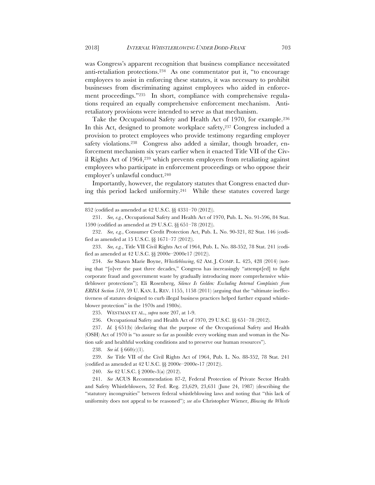was Congress's apparent recognition that business compliance necessitated anti-retaliation protections.234 As one commentator put it, "to encourage employees to assist in enforcing these statutes, it was necessary to prohibit businesses from discriminating against employees who aided in enforcement proceedings."235 In short, compliance with comprehensive regulations required an equally comprehensive enforcement mechanism. Antiretaliatory provisions were intended to serve as that mechanism.

Take the Occupational Safety and Health Act of 1970, for example.236 In this Act, designed to promote workplace safety,237 Congress included a provision to protect employees who provide testimony regarding employer safety violations.238 Congress also added a similar, though broader, enforcement mechanism six years earlier when it enacted Title VII of the Civil Rights Act of 1964,239 which prevents employers from retaliating against employees who participate in enforcement proceedings or who oppose their employer's unlawful conduct.240

Importantly, however, the regulatory statutes that Congress enacted during this period lacked uniformity.241 While these statutes covered large

234. *See* Shawn Marie Boyne, *Whistleblowing*, 62 AM. J. COMP. L. 425, 428 (2014) (noting that "[o]ver the past three decades," Congress has increasingly "attempt[ed] to fight corporate fraud and government waste by gradually introducing more comprehensive whistleblower protections"); Eli Rosenberg, *Silence Is Golden: Excluding Internal Complaints from ERISA Section 510*, 59 U. KAN. L. REV. 1155, 1158 (2011) (arguing that the "ultimate ineffectiveness of statutes designed to curb illegal business practices helped further expand whistleblower protection" in the 1970s and 1980s).

235. WESTMAN ET AL., *supra* note 207, at 1-9.

236. Occupational Safety and Health Act of 1970, 29 U.S.C. §§ 651–78 (2012).

237. *Id.* § 651(b) (declaring that the purpose of the Occupational Safety and Health (OSH) Act of 1970 is "to assure so far as possible every working man and woman in the Nation safe and healthful working conditions and to preserve our human resources").

238. *See id.* § 660(c)(1).

239. *See* Title VII of the Civil Rights Act of 1964, Pub. L. No. 88-352, 78 Stat. 241 (codified as amended at 42 U.S.C. §§ 2000e–2000e-17 (2012)).

240. *See* 42 U.S.C. § 2000e-3(a) (2012).

241. *See* ACUS Recommendation 87-2, Federal Protection of Private Sector Health and Safety Whistleblowers, 52 Fed. Reg. 23,629, 23,631 (June 24, 1987) (describing the "statutory incongruities" between federal whistleblowing laws and noting that "this lack of uniformity does not appeal to be reasoned"); *see also* Christopher Wiener, *Blowing the Whistle* 

<sup>852 (</sup>codified as amended at 42 U.S.C. §§ 4331–70 (2012)).

<sup>231.</sup> *See, e.g.*, Occupational Safety and Health Act of 1970, Pub. L. No. 91-596, 84 Stat. 1590 (codified as amended at 29 U.S.C. §§ 651–78 (2012)).

<sup>232.</sup> *See, e.g.*, Consumer Credit Protection Act, Pub. L. No. 90-321, 82 Stat. 146 (codified as amended at 15 U.S.C. §§ 1671–77 (2012)).

<sup>233.</sup> *See, e.g.*, Title VII Civil Rights Act of 1964, Pub. L. No. 88-352, 78 Stat. 241 (codified as amended at 42 U.S.C. §§ 2000e–2000e17 (2012)).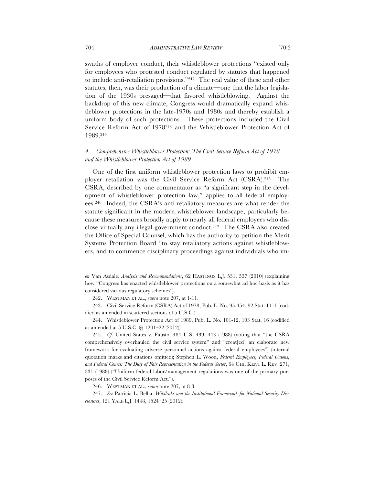swaths of employer conduct, their whistleblower protections "existed only for employees who protested conduct regulated by statutes that happened to include anti-retaliation provisions."242 The real value of these and other statutes, then, was their production of a climate—one that the labor legislation of the 1930s presaged—that favored whistleblowing. Against the backdrop of this new climate, Congress would dramatically expand whistleblower protections in the late-1970s and 1980s and thereby establish a uniform body of such protections. These protections included the Civil Service Reform Act of 1978243 and the Whistleblower Protection Act of 1989.244

# *4. Comprehensive Whistleblower Protection: The Civil Service Reform Act of 1978 and the Whistleblower Protection Act of 1989*

One of the first uniform whistleblower protection laws to prohibit employer retaliation was the Civil Service Reform Act (CSRA).245 The CSRA, described by one commentator as "a significant step in the development of whistleblower protection law," applies to all federal employees.246 Indeed, the CSRA's anti-retaliatory measures are what render the statute significant in the modern whistleblower landscape, particularly because these measures broadly apply to nearly all federal employees who disclose virtually any illegal government conduct.247 The CSRA also created the Office of Special Counsel, which has the authority to petition the Merit Systems Protection Board "to stay retaliatory actions against whistleblowers, and to commence disciplinary proceedings against individuals who im-

*on* Van Asdale*: Analysis and Recommendations*, 62 HASTINGS L.J. 531, 537 (2010) (explaining how "Congress has enacted whistleblower protections on a somewhat ad hoc basis as it has considered various regulatory schemes").

<sup>242.</sup> WESTMAN ET AL., *supra* note 207, at 1-11.

<sup>243.</sup> Civil Service Reform (CSRA) Act of 1978, Pub. L. No. 95-454, 92 Stat. 1111 (codified as amended in scattered sections of 5 U.S.C.).

<sup>244.</sup> Whistleblower Protection Act of 1989, Pub. L. No. 101-12, 103 Stat. 16 (codified as amended at 5 U.S.C. §§ 1201–22 (2012)).

<sup>245.</sup> *Cf.* United States v. Fausto, 484 U.S. 439, 443 (1988) (noting that "the CSRA comprehensively overhauled the civil service system" and "creat[ed] an elaborate new framework for evaluating adverse personnel actions against federal employees") (internal quotation marks and citations omitted); Stephen L. Wood, *Federal Employees, Federal Unions, and Federal Courts: The Duty of Fair Representation in the Federal Sector*, 64 CHI. KENT L. REV. 271, 331 (1988) ("Uniform federal labor/management regulations was one of the primary purposes of the Civil Service Reform Act.").

<sup>246.</sup> WESTMAN ET AL., *supra* note 207, at 8-3.

<sup>247.</sup> *See* Patricia L. Bellia, *Wikileaks and the Institutional Framework for National Security Disclosures*, 121 YALE L.J. 1448, 1524–25 (2012).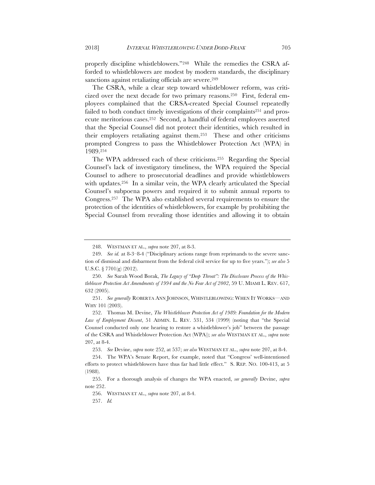properly discipline whistleblowers."248 While the remedies the CSRA afforded to whistleblowers are modest by modern standards, the disciplinary sanctions against retaliating officials are severe.<sup>249</sup>

The CSRA, while a clear step toward whistleblower reform, was criticized over the next decade for two primary reasons.250 First, federal employees complained that the CRSA-created Special Counsel repeatedly failed to both conduct timely investigations of their complaints<sup>251</sup> and prosecute meritorious cases.252 Second, a handful of federal employees asserted that the Special Counsel did not protect their identities, which resulted in their employers retaliating against them.253 These and other criticisms prompted Congress to pass the Whistleblower Protection Act (WPA) in 1989.254

The WPA addressed each of these criticisms.255 Regarding the Special Counsel's lack of investigatory timeliness, the WPA required the Special Counsel to adhere to prosecutorial deadlines and provide whistleblowers with updates.<sup>256</sup> In a similar vein, the WPA clearly articulated the Special Counsel's subpoena powers and required it to submit annual reports to Congress.257 The WPA also established several requirements to ensure the protection of the identities of whistleblowers, for example by prohibiting the Special Counsel from revealing those identities and allowing it to obtain

253. *See* Devine, *supra* note 252, at 537; *see also* WESTMAN ET AL., *supra* note 207, at 8-4.

<sup>248.</sup> WESTMAN ET AL., *supra* note 207, at 8-3.

<sup>249.</sup> *See id.* at 8-3–8-4 ("Disciplinary actions range from reprimands to the severe sanction of dismissal and disbarment from the federal civil service for up to five years."); *see also* 5 U.S.C. § 7701(g) (2012).

<sup>250.</sup> *See* Sarah Wood Borak, *The Legacy of "Deep Throat": The Disclosure Process of the Whistleblower Protection Act Amendments of 1994 and the No Fear Act of 2002*, 59 U. MIAMI L. REV. 617, 632 (2005).

<sup>251.</sup> *See generally* ROBERTA ANN JOHNSON, WHISTLEBLOWING: WHEN IT WORKS—AND WHY 101 (2003).

<sup>252.</sup> Thomas M. Devine, *The Whistleblower Protection Act of 1989: Foundation for the Modern Law of Employment Dissent*, 51 ADMIN. L. REV. 531, 534 (1999) (noting that "the Special Counsel conducted only one hearing to restore a whistleblower's job" between the passage of the CSRA and Whistleblower Protection Act (WPA)); *see also* WESTMAN ET AL., *supra* note 207, at 8-4.

<sup>254.</sup> The WPA's Senate Report, for example, noted that "Congress' well-intentioned efforts to protect whistleblowers have thus far had little effect." S. REP. NO. 100-413, at 5 (1988).

<sup>255.</sup> For a thorough analysis of changes the WPA enacted, *see generally* Devine, *supra* note 252.

<sup>256.</sup> WESTMAN ET AL., *supra* note 207, at 8-4.

<sup>257.</sup> *Id.*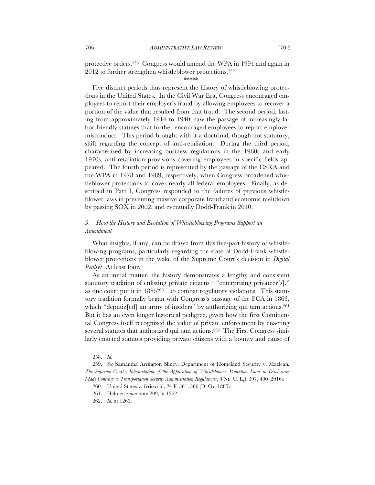protective orders.258 Congress would amend the WPA in 1994 and again in 2012 to further strengthen whistleblower protections.259

#### \*\*\*\*\*

Five distinct periods thus represent the history of whistleblowing protections in the United States. In the Civil War Era, Congress encouraged employees to report their employer's fraud by allowing employees to recover a portion of the value that resulted from that fraud. The second period, lasting from approximately 1914 to 1940, saw the passage of increasingly labor-friendly statutes that further encouraged employees to report employer misconduct. This period brought with it a doctrinal, though not statutory, shift regarding the concept of anti-retaliation. During the third period, characterized by increasing business regulations in the 1960s and early 1970s, anti-retaliation provisions covering employees in specific fields appeared. The fourth period is represented by the passage of the CSRA and the WPA in 1978 and 1989, respectively, when Congress broadened whistleblower protections to cover nearly all federal employees. Finally, as described in Part I, Congress responded to the failures of previous whistleblower laws in preventing massive corporate fraud and economic meltdown by passing SOX in 2002, and eventually Dodd-Frank in 2010.

# *5. How the History and Evolution of Whistleblowing Programs Support an Amendment*

What insights, if any, can be drawn from this five-part history of whistleblowing programs, particularly regarding the state of Dodd-Frank whistleblower protections in the wake of the Supreme Court's decision in *Digital Realty*? At least four.

As an initial matter, the history demonstrates a lengthy and consistent statutory tradition of enlisting private citizens—"enterprising privateer[s]," as one court put it in 1885260—to combat regulatory violations. This statutory tradition formally began with Congress's passage of the FCA in 1863, which "deputiz[ed] an army of insiders" by authorizing qui tam actions.<sup>261</sup> But it has an even longer historical pedigree, given how the first Continental Congress itself recognized the value of private enforcement by enacting several statutes that authorized qui tam actions.<sup>262</sup> The First Congress similarly enacted statutes providing private citizens with a bounty and cause of

<sup>258.</sup> *Id.*

<sup>259.</sup> *See* Samantha Arrington Sliney, Department of Homeland Security v. Maclean*: The Supreme Court's Interpretation of the Application of Whistleblower Protection Laws to Disclosures Made Contrary to Transportation Security Administration Regulations*, 8 NE. U. L.J. 397, 400 (2016).

<sup>260.</sup> United States v. Griswold, 24 F. 361, 366 (D. Or. 1885).

<sup>261.</sup> Helmer, *supra* note 209, at 1262.

<sup>262.</sup> *Id.* at 1263.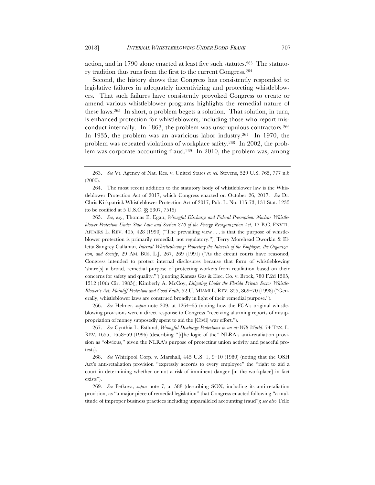action, and in 1790 alone enacted at least five such statutes.263 The statutory tradition thus runs from the first to the current Congress.264

Second, the history shows that Congress has consistently responded to legislative failures in adequately incentivizing and protecting whistleblowers. That such failures have consistently provoked Congress to create or amend various whistleblower programs highlights the remedial nature of these laws.265 In short, a problem begets a solution. That solution, in turn, is enhanced protection for whistleblowers, including those who report misconduct internally. In 1863, the problem was unscrupulous contractors.266 In 1935, the problem was an avaricious labor industry.267 In 1970, the problem was repeated violations of workplace safety.268 In 2002, the problem was corporate accounting fraud.269 In 2010, the problem was, among

265. *See, e.g.*, Thomas E. Egan, *Wrongful Discharge and Federal Preemption: Nuclear Whistleblower Protection Under State Law and Section 210 of the Energy Reorganization Act*, 17 B.C. ENVTL. AFFAIRS L. REV. 405, 428 (1990) ("The prevailing view . . . is that the purpose of whistleblower protection is primarily remedial, not regulatory."); Terry Morehead Dworkin & Elletta Sangrey Callahan, *Internal Whistleblowing: Protecting the Interests of the Employee, the Organization, and Society*, 29 AM. BUS. L.J. 267, 269 (1991) ("As the circuit courts have reasoned, Congress intended to protect internal disclosures because that form of whistleblowing 'share[s] a broad, remedial purpose of protecting workers from retaliation based on their concerns for safety and quality."') (quoting Kansas Gas & Elec. Co. v. Brock, 780 F.2d 1505, 1512 (10th Cir. 1985)); Kimberly A. McCoy, *Litigating Under the Florida Private Sector Whistle-Blower's Act: Plaintiff Protection and Good Faith*, 52 U. MIAMI L. REV. 855, 869–70 (1998) ("Generally, whistleblower laws are construed broadly in light of their remedial purpose.").

266. *See* Helmer, *supra* note 209, at 1264–65 (noting how the FCA's original whistleblowing provisions were a direct response to Congress "receiving alarming reports of misappropriation of money supposedly spent to aid the [Civil] war effort.").

267. *See* Cynthia L. Estlund, *Wrongful Discharge Protections in an at-Will World*, 74 TEX. L. REV. 1655, 1658–59 (1996) (describing "[t]he logic of the" NLRA's anti-retaliation provision as "obvious," given the NLRA's purpose of protecting union activity and peaceful protests).

268. *See* Whirlpool Corp. v. Marshall, 445 U.S. 1, 9–10 (1980) (noting that the OSH Act's anti-retaliation provision "expressly accords to every employee" the "right to aid a court in determining whether or not a risk of imminent danger [in the workplace] in fact exists").

269. *See* Petkova, *supra* note 7, at 588 (describing SOX, including its anti-retaliation provision, as "a major piece of remedial legislation" that Congress enacted following "a multitude of improper business practices including unparalleled accounting fraud"); *see also* Tello

<sup>263.</sup> *See* Vt. Agency of Nat. Res. v. United States *ex rel.* Stevens, 529 U.S. 765, 777 n.6 (2000).

<sup>264.</sup> The most recent addition to the statutory body of whistleblower law is the Whistleblower Protection Act of 2017, which Congress enacted on October 26, 2017. *See* Dr. Chris Kirkpatrick Whistleblower Protection Act of 2017, Pub. L. No. 115-73, 131 Stat. 1235 (to be codified at 5 U.S.C. §§ 2307, 7515)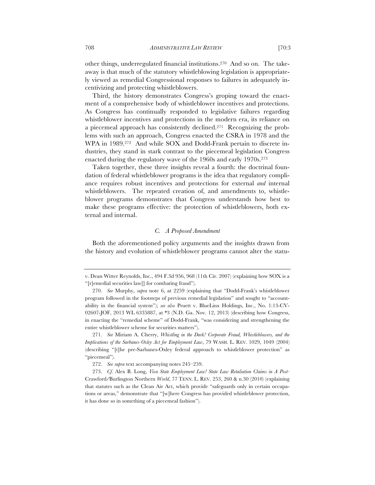other things, underregulated financial institutions.270 And so on. The takeaway is that much of the statutory whistleblowing legislation is appropriately viewed as remedial Congressional responses to failures in adequately incentivizing and protecting whistleblowers.

Third, the history demonstrates Congress's groping toward the enactment of a comprehensive body of whistleblower incentives and protections. As Congress has continually responded to legislative failures regarding whistleblower incentives and protections in the modern era, its reliance on a piecemeal approach has consistently declined.271 Recognizing the problems with such an approach, Congress enacted the CSRA in 1978 and the WPA in 1989.272 And while SOX and Dodd-Frank pertain to discrete industries, they stand in stark contrast to the piecemeal legislation Congress enacted during the regulatory wave of the 1960s and early 1970s.273

Taken together, these three insights reveal a fourth: the doctrinal foundation of federal whistleblower programs is the idea that regulatory compliance requires robust incentives and protections for external *and* internal whistleblowers. The repeated creation of, and amendments to, whistleblower programs demonstrates that Congress understands how best to make these programs effective: the protection of whistleblowers, both external and internal.

#### *C. A Proposed Amendment*

Both the aforementioned policy arguments and the insights drawn from the history and evolution of whistleblower programs cannot alter the statu-

v. Dean Witter Reynolds, Inc., 494 F.3d 956, 968 (11th Cir. 2007) (explaining how SOX is a "[r]emedial securities law[] for combating fraud").

<sup>270.</sup> *See* Murphy, *supra* note 6, at 2259 (explaining that "Dodd-Frank's whistleblower program followed in the footsteps of previous remedial legislation" and sought to "accountability in the financial system"); *see also* Pruett v. BlueLinx Holdings, Inc., No. 1:13-CV-02607-JOF, 2013 WL 6335887, at \*3 (N.D. Ga. Nov. 12, 2013) (describing how Congress, in enacting the "remedial scheme" of Dodd-Frank, "was considering and strengthening the entire whistleblower scheme for securities matters").

<sup>271.</sup> *See* Miriam A. Cherry, *Whistling in the Dark? Corporate Fraud, Whistleblowers, and the Implications of the Sarbanes-Oxley Act for Employment Law*, 79 WASH. L. REV. 1029, 1049 (2004) (describing "[t]he pre-Sarbanes-Oxley federal approach to whistleblower protection" as "piecemeal").

<sup>272.</sup> *See supra* text accompanying notes 245–259.

<sup>273.</sup> *Cf.* Alex B. Long, *Viva State Employment Law! State Law Retaliation Claims in A Post-*Crawford*/*Burlington Northern *World*, 77 TENN. L. REV. 253, 260 & n.30 (2010) (explaining that statutes such as the Clean Air Act, which provide "safeguards only in certain occupations or areas," demonstrate that "[w]here Congress has provided whistleblower protection, it has done so in something of a piecemeal fashion").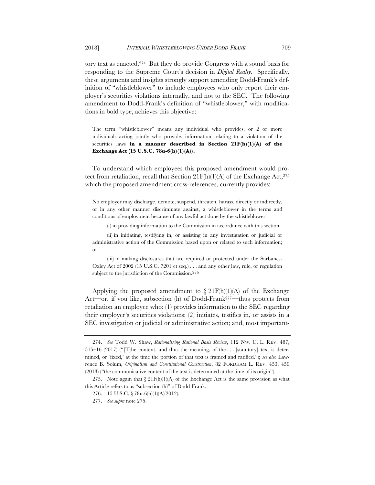tory text as enacted.274 But they do provide Congress with a sound basis for responding to the Supreme Court's decision in *Digital Realty*. Specifically, these arguments and insights strongly support amending Dodd-Frank's definition of "whistleblower" to include employees who only report their employer's securities violations internally, and not to the SEC. The following amendment to Dodd-Frank's definition of "whistleblower," with modifications in bold type, achieves this objective:

The term "whistleblower" means any individual who provides, or 2 or more individuals acting jointly who provide, information relating to a violation of the securities laws **in a manner described in Section 21F(h)(1)(A) of the Exchange Act (15 U.S.C. 78u-6(h)(1)(A)).**

To understand which employees this proposed amendment would protect from retaliation, recall that Section  $21F(h)(1)(A)$  of the Exchange Act,<sup>275</sup> which the proposed amendment cross-references, currently provides:

No employer may discharge, demote, suspend, threaten, harass, directly or indirectly, or in any other manner discriminate against, a whistleblower in the terms and conditions of employment because of any lawful act done by the whistleblower—

(i) in providing information to the Commission in accordance with this section;

(ii) in initiating, testifying in, or assisting in any investigation or judicial or administrative action of the Commission based upon or related to such information; or

(iii) in making disclosures that are required or protected under the Sarbanes-Oxley Act of 2002 (15 U.S.C. 7201 et seq.) . . . and any other law, rule, or regulation subject to the jurisdiction of the Commission.276

Applying the proposed amendment to  $\S 21F(h)(1)(A)$  of the Exchange Act—or, if you like, subsection (h) of Dodd-Frank277—thus protects from retaliation an employee who: (1) provides information to the SEC regarding their employer's securities violations; (2) initiates, testifies in, or assists in a SEC investigation or judicial or administrative action; and, most important-

<sup>274.</sup> *See* Todd W. Shaw, *Rationalizing Rational Basis Review*, 112 NW. U. L. REV. 487, 515–16 (2017) ("[T]he content, and thus the meaning, of the . . . [statutory] text is determined, or 'fixed,' at the time the portion of that text is framed and ratified."); *see also* Lawrence B. Solum, *Originalism and Constitutional Construction*, 82 FORDHAM L. REV. 453, 459 (2013) ("the communicative content of the text is determined at the time of its origin").

<sup>275.</sup> Note again that § 21F(h)(1)(A) of the Exchange Act is the same provision as what this Article refers to as "subsection (h)" of Dodd-Frank.

<sup>276.</sup> 15 U.S.C. § 78u-6(h)(1)(A)(2012).

<sup>277.</sup> *See supra* note 275.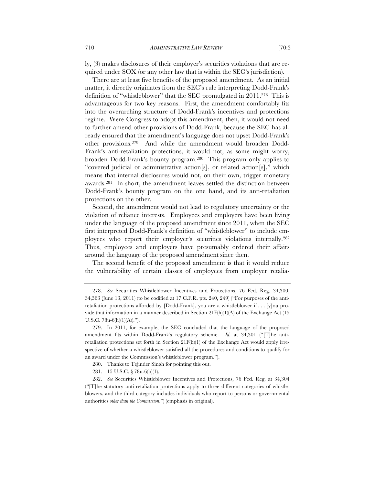ly, (3) makes disclosures of their employer's securities violations that are required under SOX (or any other law that is within the SEC's jurisdiction).

There are at least five benefits of the proposed amendment. As an initial matter, it directly originates from the SEC's rule interpreting Dodd-Frank's definition of "whistleblower" that the SEC promulgated in 2011.278 This is advantageous for two key reasons. First, the amendment comfortably fits into the overarching structure of Dodd-Frank's incentives and protections regime. Were Congress to adopt this amendment, then, it would not need to further amend other provisions of Dodd-Frank, because the SEC has already ensured that the amendment's language does not upset Dodd-Frank's other provisions.279 And while the amendment would broaden Dodd-Frank's anti-retaliation protections, it would not, as some might worry, broaden Dodd-Frank's bounty program.280 This program only applies to "covered judicial or administrative action[s], or related action[s]," which means that internal disclosures would not, on their own, trigger monetary awards.281 In short, the amendment leaves settled the distinction between Dodd-Frank's bounty program on the one hand, and its anti-retaliation protections on the other.

Second, the amendment would not lead to regulatory uncertainty or the violation of reliance interests. Employees and employers have been living under the language of the proposed amendment since 2011, when the SEC first interpreted Dodd-Frank's definition of "whistleblower" to include employees who report their employer's securities violations internally.282 Thus, employees and employers have presumably ordered their affairs around the language of the proposed amendment since then.

The second benefit of the proposed amendment is that it would reduce the vulnerability of certain classes of employees from employer retalia-

281. 15 U.S.C. § 78u-6(b)(1).

<sup>278.</sup> *See* Securities Whistleblower Incentives and Protections, 76 Fed. Reg. 34,300, 34,363 (June 13, 2011) (to be codified at 17 C.F.R. pts. 240, 249) ("For purposes of the antiretaliation protections afforded by [Dodd-Frank], you are a whistleblower if . . . [y]ou provide that information in a manner described in Section  $21F(h)(1)(A)$  of the Exchange Act (15 U.S.C. 78u-6(h)(1)(A)).").

<sup>279.</sup> In 2011, for example, the SEC concluded that the language of the proposed amendment fits within Dodd-Frank's regulatory scheme. *Id.* at 34,301 ("[T]he antiretaliation protections set forth in Section  $21F(h)(1)$  of the Exchange Act would apply irrespective of whether a whistleblower satisfied all the procedures and conditions to qualify for an award under the Commission's whistleblower program.").

<sup>280.</sup> Thanks to Tejinder Singh for pointing this out.

<sup>282.</sup> *See* Securities Whistleblower Incentives and Protections, 76 Fed. Reg. at 34,304 ("[T]he statutory anti-retaliation protections apply to three different categories of whistleblowers, and the third category includes individuals who report to persons or governmental authorities *other than the Commission*.") (emphasis in original).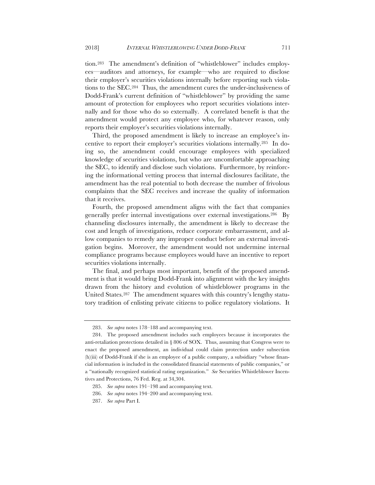tion.283 The amendment's definition of "whistleblower" includes employees—auditors and attorneys, for example—who are required to disclose their employer's securities violations internally before reporting such violations to the SEC.284 Thus, the amendment cures the under-inclusiveness of Dodd-Frank's current definition of "whistleblower" by providing the same amount of protection for employees who report securities violations internally and for those who do so externally. A correlated benefit is that the amendment would protect any employee who, for whatever reason, only reports their employer's securities violations internally.

Third, the proposed amendment is likely to increase an employee's incentive to report their employer's securities violations internally.285 In doing so, the amendment could encourage employees with specialized knowledge of securities violations, but who are uncomfortable approaching the SEC, to identify and disclose such violations. Furthermore, by reinforcing the informational vetting process that internal disclosures facilitate, the amendment has the real potential to both decrease the number of frivolous complaints that the SEC receives and increase the quality of information that it receives.

Fourth, the proposed amendment aligns with the fact that companies generally prefer internal investigations over external investigations.286 By channeling disclosures internally, the amendment is likely to decrease the cost and length of investigations, reduce corporate embarrassment, and allow companies to remedy any improper conduct before an external investigation begins. Moreover, the amendment would not undermine internal compliance programs because employees would have an incentive to report securities violations internally.

The final, and perhaps most important, benefit of the proposed amendment is that it would bring Dodd-Frank into alignment with the key insights drawn from the history and evolution of whistleblower programs in the United States.287 The amendment squares with this country's lengthy statutory tradition of enlisting private citizens to police regulatory violations. It

<sup>283.</sup> *See supra* notes 178–188 and accompanying text.

<sup>284.</sup> The proposed amendment includes such employees because it incorporates the anti-retaliation protections detailed in  $\S 806$  of SOX. Thus, assuming that Congress were to enact the proposed amendment, an individual could claim protection under subsection (h)(iii) of Dodd-Frank if she is an employee of a public company, a subsidiary "whose financial information is included in the consolidated financial statements of public companies," or a "nationally recognized statistical rating organization." *See* Securities Whistleblower Incentives and Protections, 76 Fed. Reg. at 34,304.

<sup>285.</sup> *See supra* notes 191–198 and accompanying text.

<sup>286.</sup> *See supra* notes 194–200 and accompanying text.

<sup>287.</sup> *See supra* Part I.